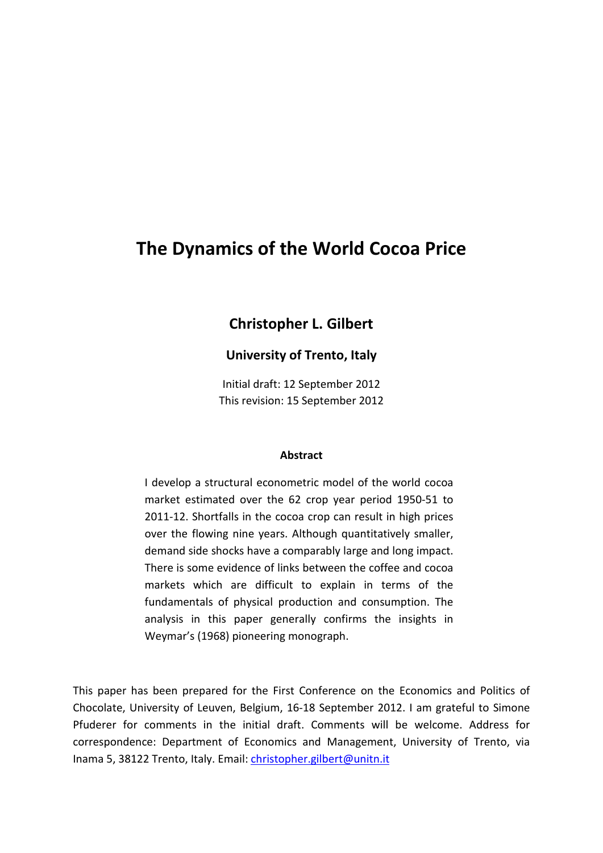# **The Dynamics of the World Cocoa Price**

# **Christopher L. Gilbert**

# **University of Trento, Italy**

Initial draft: 12 September 2012 This revision: 15 September 2012

#### **Abstract**

I develop a structural econometric model of the world cocoa market estimated over the 62 crop year period 1950-51 to 2011-12. Shortfalls in the cocoa crop can result in high prices over the flowing nine years. Although quantitatively smaller, demand side shocks have a comparably large and long impact. There is some evidence of links between the coffee and cocoa markets which are difficult to explain in terms of the fundamentals of physical production and consumption. The analysis in this paper generally confirms the insights in Weymar's (1968) pioneering monograph.

This paper has been prepared for the First Conference on the Economics and Politics of Chocolate, University of Leuven, Belgium, 16-18 September 2012. I am grateful to Simone Pfuderer for comments in the initial draft. Comments will be welcome. Address for correspondence: Department of Economics and Management, University of Trento, via Inama 5, 38122 Trento, Italy. Email[: christopher.gilbert@unitn.it](mailto:christopher.gilbert@unitn.it)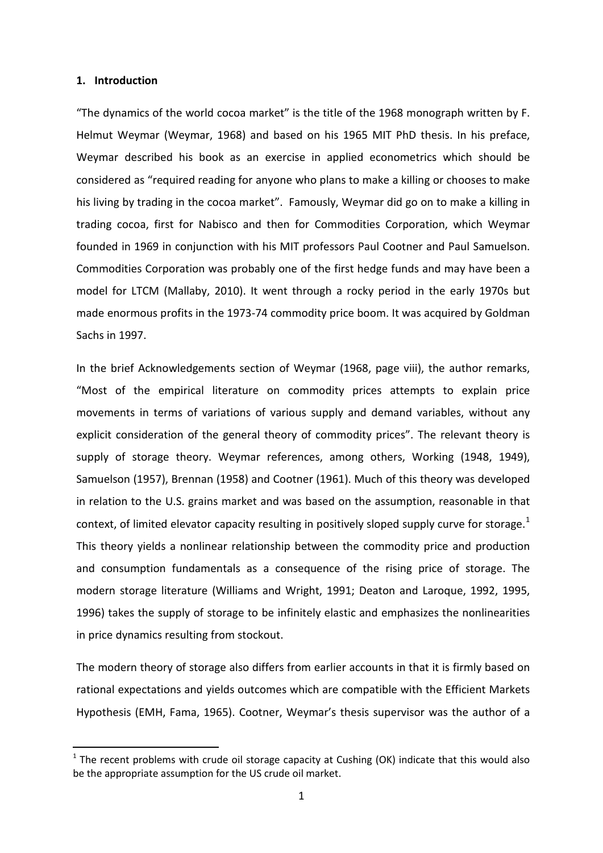#### **1. Introduction**

"The dynamics of the world cocoa market" is the title of the 1968 monograph written by F. Helmut Weymar (Weymar, 1968) and based on his 1965 MIT PhD thesis. In his preface, Weymar described his book as an exercise in applied econometrics which should be considered as "required reading for anyone who plans to make a killing or chooses to make his living by trading in the cocoa market". Famously, Weymar did go on to make a killing in trading cocoa, first for Nabisco and then for Commodities Corporation, which Weymar founded in 1969 in conjunction with his MIT professors Paul Cootner and Paul Samuelson. Commodities Corporation was probably one of the first hedge funds and may have been a model for LTCM (Mallaby, 2010). It went through a rocky period in the early 1970s but made enormous profits in the 1973-74 commodity price boom. It was acquired by Goldman Sachs in 1997.

In the brief Acknowledgements section of Weymar (1968, page viii), the author remarks, "Most of the empirical literature on commodity prices attempts to explain price movements in terms of variations of various supply and demand variables, without any explicit consideration of the general theory of commodity prices". The relevant theory is supply of storage theory. Weymar references, among others, Working (1948, 1949), Samuelson (1957), Brennan (1958) and Cootner (1961). Much of this theory was developed in relation to the U.S. grains market and was based on the assumption, reasonable in that context, of limited elevator capacity resulting in positively sloped supply curve for storage. $1$ This theory yields a nonlinear relationship between the commodity price and production and consumption fundamentals as a consequence of the rising price of storage. The modern storage literature (Williams and Wright, 1991; Deaton and Laroque, 1992, 1995, 1996) takes the supply of storage to be infinitely elastic and emphasizes the nonlinearities in price dynamics resulting from stockout.

<span id="page-1-0"></span>The modern theory of storage also differs from earlier accounts in that it is firmly based on rational expectations and yields outcomes which are compatible with the Efficient Markets Hypothesis (EMH, Fama, 1965). Cootner, Weymar's thesis supervisor was the author of a

 $1$  The recent problems with crude oil storage capacity at Cushing (OK) indicate that this would also be the appropriate assumption for the US crude oil market.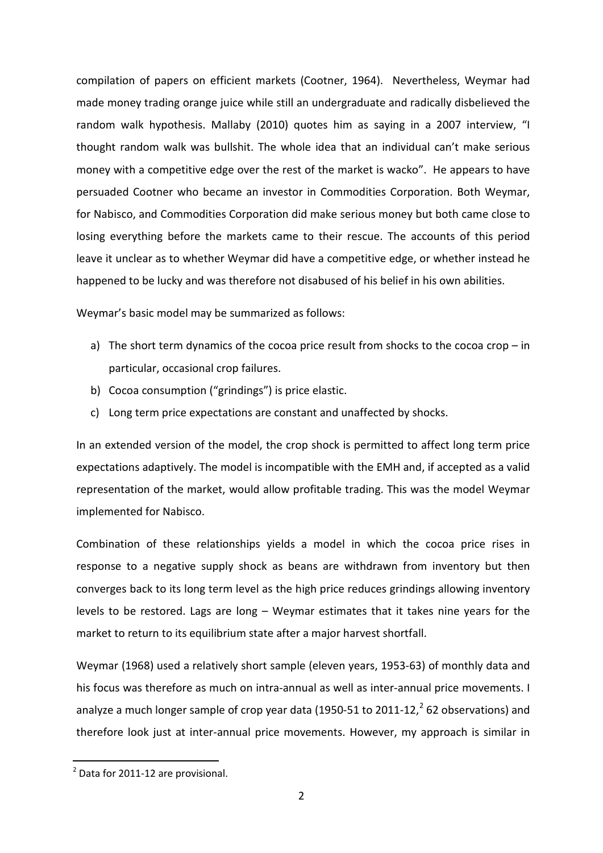compilation of papers on efficient markets (Cootner, 1964). Nevertheless, Weymar had made money trading orange juice while still an undergraduate and radically disbelieved the random walk hypothesis. Mallaby (2010) quotes him as saying in a 2007 interview, "I thought random walk was bullshit. The whole idea that an individual can't make serious money with a competitive edge over the rest of the market is wacko". He appears to have persuaded Cootner who became an investor in Commodities Corporation. Both Weymar, for Nabisco, and Commodities Corporation did make serious money but both came close to losing everything before the markets came to their rescue. The accounts of this period leave it unclear as to whether Weymar did have a competitive edge, or whether instead he happened to be lucky and was therefore not disabused of his belief in his own abilities.

Weymar's basic model may be summarized as follows:

- a) The short term dynamics of the cocoa price result from shocks to the cocoa crop in particular, occasional crop failures.
- b) Cocoa consumption ("grindings") is price elastic.
- c) Long term price expectations are constant and unaffected by shocks.

In an extended version of the model, the crop shock is permitted to affect long term price expectations adaptively. The model is incompatible with the EMH and, if accepted as a valid representation of the market, would allow profitable trading. This was the model Weymar implemented for Nabisco.

Combination of these relationships yields a model in which the cocoa price rises in response to a negative supply shock as beans are withdrawn from inventory but then converges back to its long term level as the high price reduces grindings allowing inventory levels to be restored. Lags are long – Weymar estimates that it takes nine years for the market to return to its equilibrium state after a major harvest shortfall.

Weymar (1968) used a relatively short sample (eleven years, 1953-63) of monthly data and his focus was therefore as much on intra-annual as well as inter-annual price movements. I analyze a much longer sample of crop year data (1950-51 to [2](#page-3-0)011-12, $^2$  62 observations) and therefore look just at inter-annual price movements. However, my approach is similar in

 <sup>2</sup> Data for 2011-12 are provisional.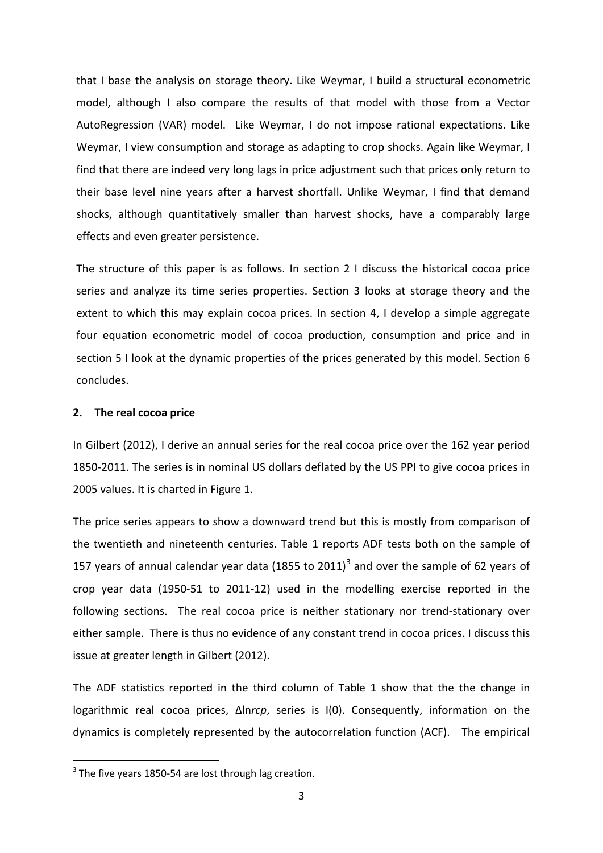that I base the analysis on storage theory. Like Weymar, I build a structural econometric model, although I also compare the results of that model with those from a Vector AutoRegression (VAR) model. Like Weymar, I do not impose rational expectations. Like Weymar, I view consumption and storage as adapting to crop shocks. Again like Weymar, I find that there are indeed very long lags in price adjustment such that prices only return to their base level nine years after a harvest shortfall. Unlike Weymar, I find that demand shocks, although quantitatively smaller than harvest shocks, have a comparably large effects and even greater persistence.

The structure of this paper is as follows. In section 2 I discuss the historical cocoa price series and analyze its time series properties. Section 3 looks at storage theory and the extent to which this may explain cocoa prices. In section 4, I develop a simple aggregate four equation econometric model of cocoa production, consumption and price and in section 5 I look at the dynamic properties of the prices generated by this model. Section 6 concludes.

#### **2. The real cocoa price**

In Gilbert (2012), I derive an annual series for the real cocoa price over the 162 year period 1850-2011. The series is in nominal US dollars deflated by the US PPI to give cocoa prices in 2005 values. It is charted in Figure 1.

The price series appears to show a downward trend but this is mostly from comparison of the twentieth and nineteenth centuries. Table 1 reports ADF tests both on the sample of 157 years of annual calendar year data (1855 to 2011)<sup>[3](#page-3-1)</sup> and over the sample of 62 years of crop year data (1950-51 to 2011-12) used in the modelling exercise reported in the following sections. The real cocoa price is neither stationary nor trend-stationary over either sample. There is thus no evidence of any constant trend in cocoa prices. I discuss this issue at greater length in Gilbert (2012).

The ADF statistics reported in the third column of Table 1 show that the the change in logarithmic real cocoa prices, Δln*rcp*, series is I(0). Consequently, information on the dynamics is completely represented by the autocorrelation function (ACF). The empirical

<span id="page-3-1"></span><span id="page-3-0"></span> $3$  The five vears 1850-54 are lost through lag creation.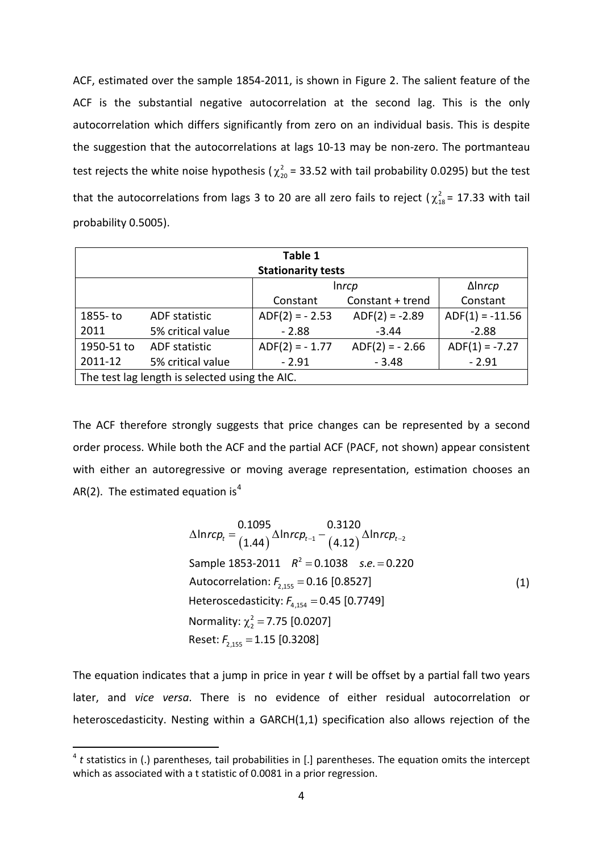ACF, estimated over the sample 1854-2011, is shown in Figure 2. The salient feature of the ACF is the substantial negative autocorrelation at the second lag. This is the only autocorrelation which differs significantly from zero on an individual basis. This is despite the suggestion that the autocorrelations at lags 10-13 may be non-zero. The portmanteau test rejects the white noise hypothesis ( $\chi^2_{20}$  = 33.52 with tail probability 0.0295) but the test that the autocorrelations from lags 3 to 20 are all zero fails to reject ( $\chi^2_{18}$  = 17.33 with tail probability 0.5005).

| Table 1                                        |                                |                           |                  |                   |  |  |  |
|------------------------------------------------|--------------------------------|---------------------------|------------------|-------------------|--|--|--|
|                                                |                                | <b>Stationarity tests</b> |                  |                   |  |  |  |
|                                                | $\Delta$ Inrcp<br><i>Inrcp</i> |                           |                  |                   |  |  |  |
| Constant + trend<br>Constant<br>Constant       |                                |                           |                  |                   |  |  |  |
| 1855- to                                       | ADF statistic                  | $ADF(2) = -2.53$          | $ADF(2) = -2.89$ | $ADF(1) = -11.56$ |  |  |  |
| 2011                                           | 5% critical value              | $-2.88$                   |                  |                   |  |  |  |
| 1950-51 to                                     | <b>ADF</b> statistic           | $ADF(2) = -1.77$          | $ADF(2) = -2.66$ | $ADF(1) = -7.27$  |  |  |  |
| 2011-12                                        | 5% critical value              | $-2.91$                   | $-3.48$          | $-2.91$           |  |  |  |
| The test lag length is selected using the AIC. |                                |                           |                  |                   |  |  |  |

The ACF therefore strongly suggests that price changes can be represented by a second order process. While both the ACF and the partial ACF (PACF, not shown) appear consistent with either an autoregressive or moving average representation, estimation chooses an AR(2). The estimated equation is<sup>[4](#page-4-0)</sup>

$$
\Delta ln rcp_t = \frac{0.1095}{(1.44)} \Delta ln rcp_{t-1} - \frac{0.3120}{(4.12)} \Delta ln rcp_{t-2}
$$
\nSample 1853-2011  $R^2 = 0.1038$  s.e. = 0.220

\nAutocorrelation:  $F_{2,155} = 0.16$  [0.8527]

\nHeteroscedasticity:  $F_{4,154} = 0.45$  [0.7749]

\nNormality:  $\chi_2^2 = 7.75$  [0.0207]

\nReset:  $F_{2,155} = 1.15$  [0.3208]

The equation indicates that a jump in price in year *t* will be offset by a partial fall two years later, and *vice versa*. There is no evidence of either residual autocorrelation or heteroscedasticity. Nesting within a GARCH(1,1) specification also allows rejection of the

<span id="page-4-0"></span><sup>&</sup>lt;sup>4</sup> t statistics in (.) parentheses, tail probabilities in [.] parentheses. The equation omits the intercept which as associated with a t statistic of 0.0081 in a prior regression.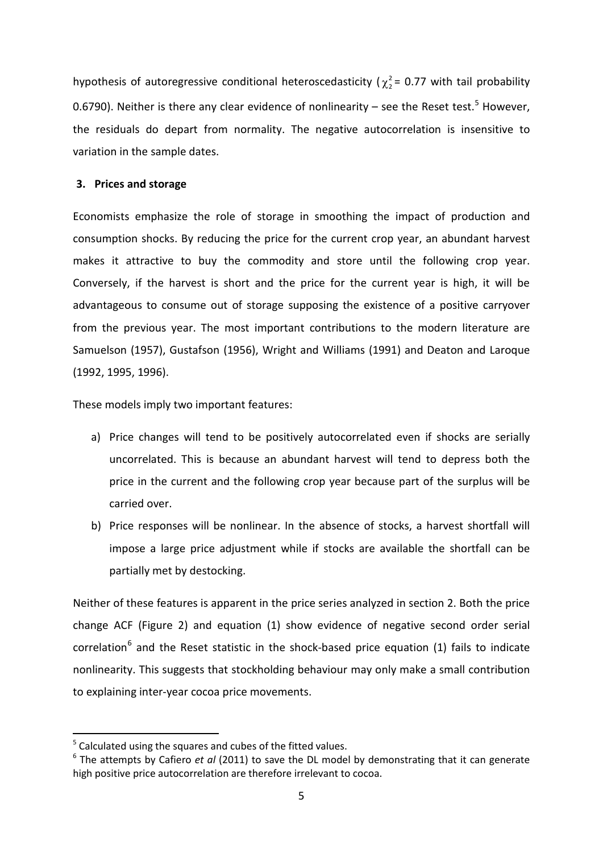hypothesis of autoregressive conditional heteroscedasticity ( $\chi^2$  = 0.77 with tail probability 0.6790). Neither is there any clear evidence of nonlinearity – see the Reset test.<sup>[5](#page-5-0)</sup> However, the residuals do depart from normality. The negative autocorrelation is insensitive to variation in the sample dates.

#### **3. Prices and storage**

Economists emphasize the role of storage in smoothing the impact of production and consumption shocks. By reducing the price for the current crop year, an abundant harvest makes it attractive to buy the commodity and store until the following crop year. Conversely, if the harvest is short and the price for the current year is high, it will be advantageous to consume out of storage supposing the existence of a positive carryover from the previous year. The most important contributions to the modern literature are Samuelson (1957), Gustafson (1956), Wright and Williams (1991) and Deaton and Laroque (1992, 1995, 1996).

These models imply two important features:

- a) Price changes will tend to be positively autocorrelated even if shocks are serially uncorrelated. This is because an abundant harvest will tend to depress both the price in the current and the following crop year because part of the surplus will be carried over.
- b) Price responses will be nonlinear. In the absence of stocks, a harvest shortfall will impose a large price adjustment while if stocks are available the shortfall can be partially met by destocking.

Neither of these features is apparent in the price series analyzed in section 2. Both the price change ACF (Figure 2) and equation (1) show evidence of negative second order serial correlation<sup>[6](#page-6-0)</sup> and the Reset statistic in the shock-based price equation (1) fails to indicate nonlinearity. This suggests that stockholding behaviour may only make a small contribution to explaining inter-year cocoa price movements.

<sup>&</sup>lt;sup>5</sup> Calculated using the squares and cubes of the fitted values.

<span id="page-5-0"></span><sup>6</sup> The attempts by Cafiero *et al* (2011) to save the DL model by demonstrating that it can generate high positive price autocorrelation are therefore irrelevant to cocoa.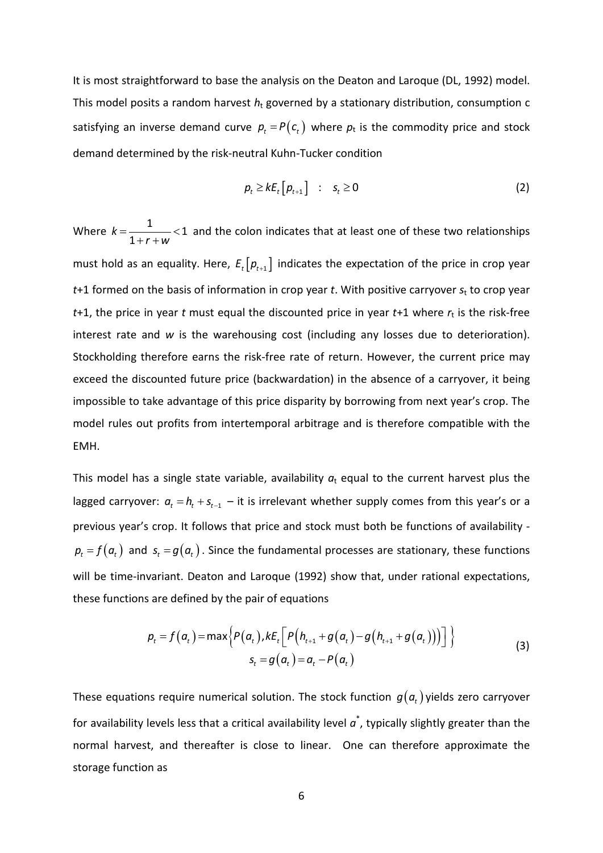It is most straightforward to base the analysis on the Deaton and Laroque (DL, 1992) model. This model posits a random harvest *h*<sup>t</sup> governed by a stationary distribution, consumption c satisfying an inverse demand curve  $p_t = P(c_t)$  where  $p_t$  is the commodity price and stock demand determined by the risk-neutral Kuhn-Tucker condition

$$
p_t \geq k E_t \left[ p_{t+1} \right] \quad : \quad s_t \geq 0 \tag{2}
$$

Where  $k=\frac{1}{1}$   $<$  1 1 *k r w*  $=\frac{1}{\sqrt{2}}$  $+r +$ and the colon indicates that at least one of these two relationships must hold as an equality. Here,  $E_t[p_{t+1}]$  indicates the expectation of the price in crop year *t*+1 formed on the basis of information in crop year *t*. With positive carryover *s*<sup>t</sup> to crop year  $t+1$ , the price in year *t* must equal the discounted price in year  $t+1$  where  $r<sub>t</sub>$  is the risk-free interest rate and *w* is the warehousing cost (including any losses due to deterioration). Stockholding therefore earns the risk-free rate of return. However, the current price may exceed the discounted future price (backwardation) in the absence of a carryover, it being impossible to take advantage of this price disparity by borrowing from next year's crop. The model rules out profits from intertemporal arbitrage and is therefore compatible with the EMH.

This model has a single state variable, availability  $a<sub>t</sub>$  equal to the current harvest plus the lagged carryover:  $a_t = h_t + s_{t-1} - it$  is irrelevant whether supply comes from this year's or a previous year's crop. It follows that price and stock must both be functions of availability  $p_t = f(a_t)$  and  $s_t = g(a_t)$ . Since the fundamental processes are stationary, these functions will be time-invariant. Deaton and Laroque (1992) show that, under rational expectations, these functions are defined by the pair of equations

$$
p_{t} = f(a_{t}) = \max \Big\{ P(a_{t}), kE_{t} \Big[ P\big(h_{t+1} + g(a_{t}) - g(h_{t+1} + g(a_{t})\big)\big) \Big] \Big\}
$$
  

$$
s_{t} = g(a_{t}) = a_{t} - P(a_{t})
$$
 (3)

<span id="page-6-0"></span>These equations require numerical solution. The stock function  $g(a_t)$  yields zero carryover for availability levels less that a critical availability level  $a^*$ , typically slightly greater than the normal harvest, and thereafter is close to linear. One can therefore approximate the storage function as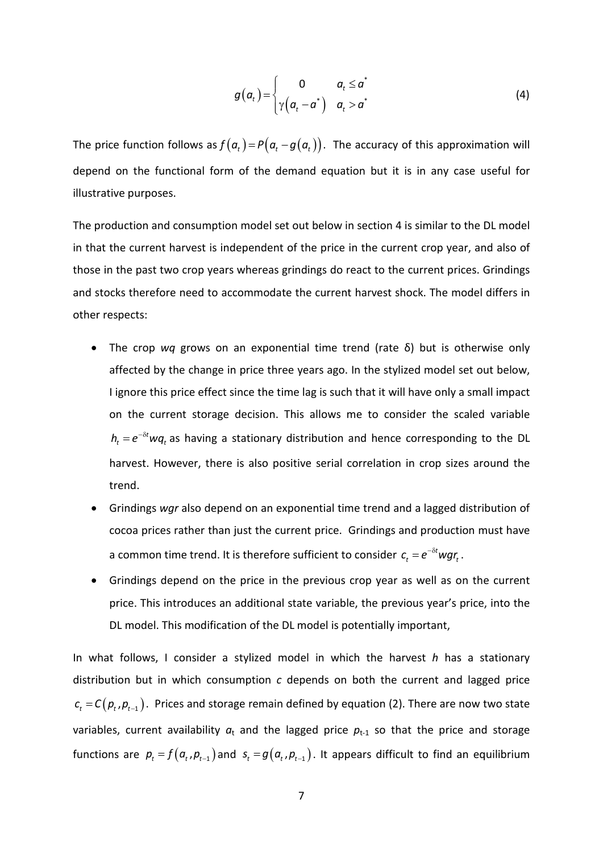$$
g(a_t) = \begin{cases} 0 & a_t \leq a^* \\ \gamma(a_t - a^*) & a_t > a^* \end{cases}
$$
 (4)

The price function follows as  $f(a_t) = P(a_t - g(a_t))$ . The accuracy of this approximation will depend on the functional form of the demand equation but it is in any case useful for illustrative purposes.

The production and consumption model set out below in section 4 is similar to the DL model in that the current harvest is independent of the price in the current crop year, and also of those in the past two crop years whereas grindings do react to the current prices. Grindings and stocks therefore need to accommodate the current harvest shock. The model differs in other respects:

- The crop *wq* grows on an exponential time trend (rate δ) but is otherwise only affected by the change in price three years ago. In the stylized model set out below, I ignore this price effect since the time lag is such that it will have only a small impact on the current storage decision. This allows me to consider the scaled variable  $h_t = e^{-\delta t} w q_t$  as having a stationary distribution and hence corresponding to the DL harvest. However, there is also positive serial correlation in crop sizes around the trend.
- Grindings *wgr* also depend on an exponential time trend and a lagged distribution of cocoa prices rather than just the current price. Grindings and production must have a common time trend. It is therefore sufficient to consider  $c_t = e^{-\delta t} wgr_t$ .
- Grindings depend on the price in the previous crop year as well as on the current price. This introduces an additional state variable, the previous year's price, into the DL model. This modification of the DL model is potentially important,

In what follows, I consider a stylized model in which the harvest *h* has a stationary distribution but in which consumption *c* depends on both the current and lagged price  $c_t = C(p_t, p_{t-1})$ . Prices and storage remain defined by equation (2). There are now two state variables, current availability  $a_t$  and the lagged price  $p_{t-1}$  so that the price and storage functions are  $p_t = f(a_t, p_{t-1})$  and  $s_t = g(a_t, p_{t-1})$ . It appears difficult to find an equilibrium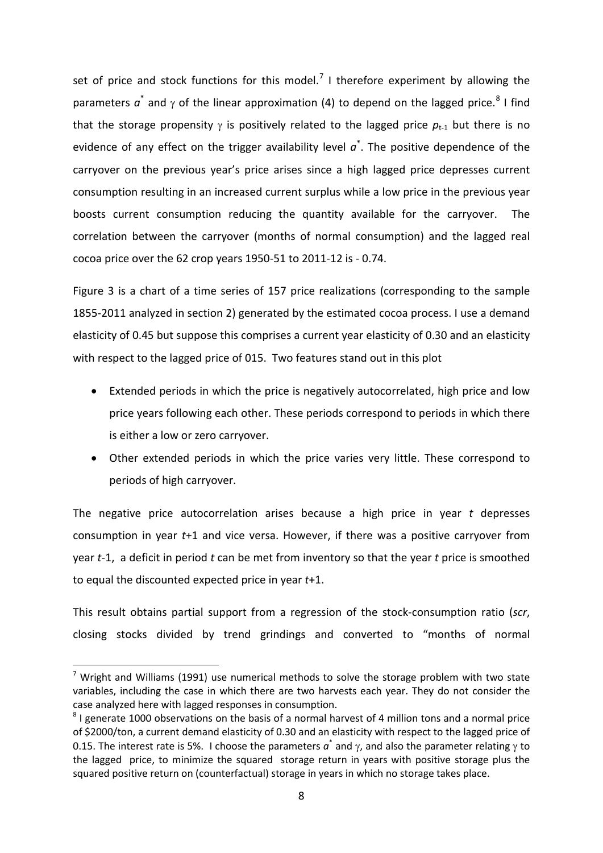set of price and stock functions for this model.<sup>[7](#page-8-0)</sup> I therefore experiment by allowing the parameters  $a^*$  and  $\gamma$  of the linear approximation (4) to depend on the lagged price.<sup>[8](#page-8-1)</sup> I find that the storage propensity  $\gamma$  is positively related to the lagged price  $p_{t-1}$  but there is no evidence of any effect on the trigger availability level  $a^*$ . The positive dependence of the carryover on the previous year's price arises since a high lagged price depresses current consumption resulting in an increased current surplus while a low price in the previous year boosts current consumption reducing the quantity available for the carryover. The correlation between the carryover (months of normal consumption) and the lagged real cocoa price over the 62 crop years 1950-51 to 2011-12 is - 0.74.

Figure 3 is a chart of a time series of 157 price realizations (corresponding to the sample 1855-2011 analyzed in section 2) generated by the estimated cocoa process. I use a demand elasticity of 0.45 but suppose this comprises a current year elasticity of 0.30 and an elasticity with respect to the lagged price of 015. Two features stand out in this plot

- Extended periods in which the price is negatively autocorrelated, high price and low price years following each other. These periods correspond to periods in which there is either a low or zero carryover.
- Other extended periods in which the price varies very little. These correspond to periods of high carryover.

The negative price autocorrelation arises because a high price in year *t* depresses consumption in year *t*+1 and vice versa. However, if there was a positive carryover from year *t*-1, a deficit in period *t* can be met from inventory so that the year *t* price is smoothed to equal the discounted expected price in year *t*+1.

This result obtains partial support from a regression of the stock-consumption ratio (*scr*, closing stocks divided by trend grindings and converted to "months of normal

<span id="page-8-0"></span><sup>&</sup>lt;sup>7</sup> Wright and Williams (1991) use numerical methods to solve the storage problem with two state variables, including the case in which there are two harvests each year. They do not consider the case analyzed here with lagged responses in consumption.

<span id="page-8-1"></span> $8$  I generate 1000 observations on the basis of a normal harvest of 4 million tons and a normal price of \$2000/ton, a current demand elasticity of 0.30 and an elasticity with respect to the lagged price of 0.15. The interest rate is 5%. I choose the parameters  $a^*$  and  $\gamma$ , and also the parameter relating  $\gamma$  to the lagged price, to minimize the squared storage return in years with positive storage plus the squared positive return on (counterfactual) storage in years in which no storage takes place.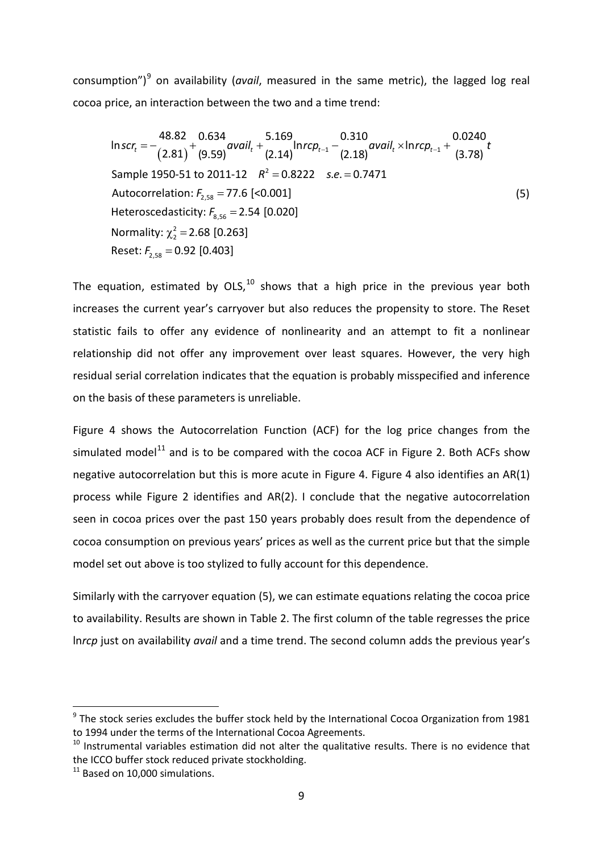consumption")[9](#page-9-0) on availability (*avail*, measured in the same metric), the lagged log real cocoa price, an interaction between the two and a time trend:

$$
\ln scr_{t} = -\frac{48.82}{(2.81)} + \frac{0.634}{(9.59)} \text{avail}_{t} + \frac{5.169}{(2.14)} \text{ln} \text{rcp}_{t-1} - \frac{0.310}{(2.18)} \text{avail}_{t} \times \text{ln} \text{rcp}_{t-1} + \frac{0.0240}{(3.78)} \text{t}
$$
\n
$$
\text{Sample } 1950-51 \text{ to } 2011-12 \quad R^{2} = 0.8222 \quad s.e. = 0.7471
$$
\n
$$
\text{Autocorrelation: } F_{2,58} = 77.6 \text{ [<0.001]}
$$
\n
$$
\text{Heteroscedasticity: } F_{8,56} = 2.54 \text{ [0.020]}
$$
\n
$$
\text{Normality: } \chi_{2}^{2} = 2.68 \text{ [0.263]}
$$
\n
$$
\text{Reset: } F_{2,58} = 0.92 \text{ [0.403]}
$$
\n
$$
\text{(5)}
$$

The equation, estimated by  $OLS<sup>10</sup>$  $OLS<sup>10</sup>$  $OLS<sup>10</sup>$  shows that a high price in the previous year both increases the current year's carryover but also reduces the propensity to store. The Reset statistic fails to offer any evidence of nonlinearity and an attempt to fit a nonlinear relationship did not offer any improvement over least squares. However, the very high residual serial correlation indicates that the equation is probably misspecified and inference on the basis of these parameters is unreliable.

Figure 4 shows the Autocorrelation Function (ACF) for the log price changes from the simulated model<sup>[11](#page-9-2)</sup> and is to be compared with the cocoa ACF in Figure 2. Both ACFs show negative autocorrelation but this is more acute in Figure 4. Figure 4 also identifies an AR(1) process while Figure 2 identifies and AR(2). I conclude that the negative autocorrelation seen in cocoa prices over the past 150 years probably does result from the dependence of cocoa consumption on previous years' prices as well as the current price but that the simple model set out above is too stylized to fully account for this dependence.

Similarly with the carryover equation (5), we can estimate equations relating the cocoa price to availability. Results are shown in Table 2. The first column of the table regresses the price ln*rcp* just on availability *avail* and a time trend. The second column adds the previous year's

<span id="page-9-0"></span> $9$  The stock series excludes the buffer stock held by the International Cocoa Organization from 1981 to 1994 under the terms of the International Cocoa Agreements.

<span id="page-9-1"></span> $10$  Instrumental variables estimation did not alter the qualitative results. There is no evidence that the ICCO buffer stock reduced private stockholding.

<span id="page-9-2"></span> $11$  Based on 10,000 simulations.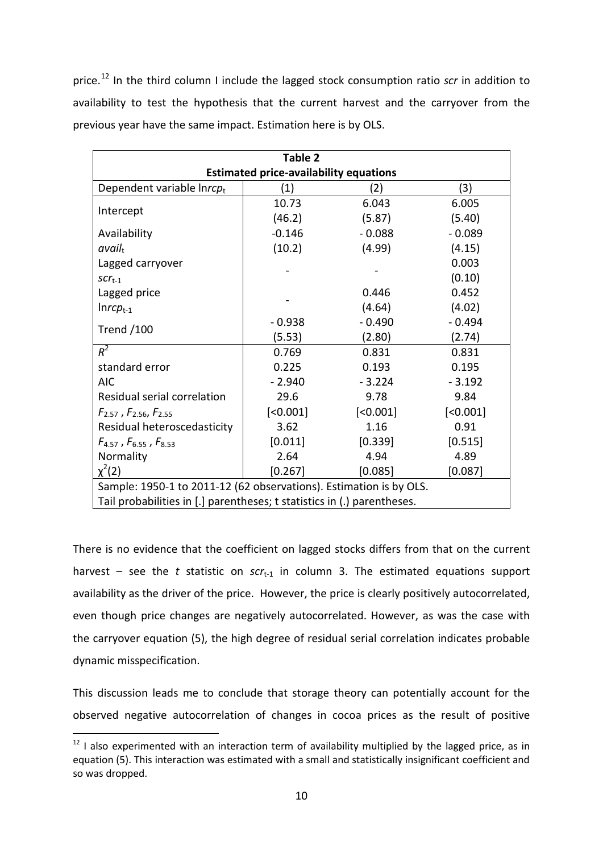price.<sup>[12](#page-10-0)</sup> In the third column I include the lagged stock consumption ratio *scr* in addition to availability to test the hypothesis that the current harvest and the carryover from the previous year have the same impact. Estimation here is by OLS.

| Table 2                                                                 |          |          |          |  |  |  |  |
|-------------------------------------------------------------------------|----------|----------|----------|--|--|--|--|
| <b>Estimated price-availability equations</b>                           |          |          |          |  |  |  |  |
| Dependent variable Inrcpt                                               | (1)      | (2)      | (3)      |  |  |  |  |
|                                                                         | 10.73    | 6.043    | 6.005    |  |  |  |  |
| Intercept                                                               | (46.2)   | (5.87)   | (5.40)   |  |  |  |  |
| Availability                                                            | $-0.146$ | $-0.088$ | $-0.089$ |  |  |  |  |
| avail <sub>t</sub>                                                      | (10.2)   | (4.99)   | (4.15)   |  |  |  |  |
| Lagged carryover                                                        |          |          | 0.003    |  |  |  |  |
| $SCT_{t-1}$                                                             |          |          | (0.10)   |  |  |  |  |
| Lagged price                                                            |          | 0.446    | 0.452    |  |  |  |  |
| $Inrep_{t-1}$                                                           |          | (4.64)   | (4.02)   |  |  |  |  |
| <b>Trend /100</b>                                                       | $-0.938$ | $-0.490$ | $-0.494$ |  |  |  |  |
|                                                                         | (5.53)   | (2.80)   | (2.74)   |  |  |  |  |
| $R^2$                                                                   | 0.769    | 0.831    | 0.831    |  |  |  |  |
| standard error                                                          | 0.225    | 0.193    | 0.195    |  |  |  |  |
| <b>AIC</b>                                                              | $-2.940$ | $-3.224$ | $-3.192$ |  |  |  |  |
| Residual serial correlation                                             | 29.6     | 9.78     | 9.84     |  |  |  |  |
| $F_{2.57}$ , $F_{2.56}$ , $F_{2.55}$                                    | [<0.001] | [<0.001] | [<0.001] |  |  |  |  |
| Residual heteroscedasticity                                             | 3.62     | 1.16     | 0.91     |  |  |  |  |
| $F_{4.57}$ , $F_{6.55}$ , $F_{8.53}$                                    | [0.011]  | [0.339]  | [0.515]  |  |  |  |  |
| Normality                                                               | 2.64     | 4.94     | 4.89     |  |  |  |  |
| $\chi^2(2)$                                                             | [0.267]  | [0.085]  | [0.087]  |  |  |  |  |
| Sample: 1950-1 to 2011-12 (62 observations). Estimation is by OLS.      |          |          |          |  |  |  |  |
| Tail probabilities in [.] parentheses; t statistics in (.) parentheses. |          |          |          |  |  |  |  |

There is no evidence that the coefficient on lagged stocks differs from that on the current harvest – see the *t* statistic on  $scr_{t-1}$  in column 3. The estimated equations support availability as the driver of the price. However, the price is clearly positively autocorrelated, even though price changes are negatively autocorrelated. However, as was the case with the carryover equation (5), the high degree of residual serial correlation indicates probable dynamic misspecification.

This discussion leads me to conclude that storage theory can potentially account for the observed negative autocorrelation of changes in cocoa prices as the result of positive

<span id="page-10-0"></span> $12$  I also experimented with an interaction term of availability multiplied by the lagged price, as in equation (5). This interaction was estimated with a small and statistically insignificant coefficient and so was dropped.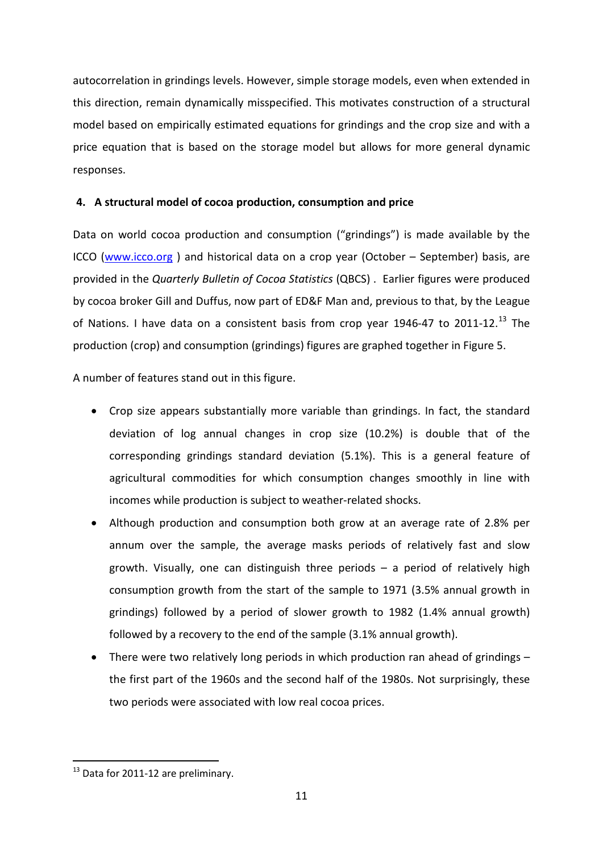autocorrelation in grindings levels. However, simple storage models, even when extended in this direction, remain dynamically misspecified. This motivates construction of a structural model based on empirically estimated equations for grindings and the crop size and with a price equation that is based on the storage model but allows for more general dynamic responses.

# **4. A structural model of cocoa production, consumption and price**

Data on world cocoa production and consumption ("grindings") is made available by the ICCO [\(www.icco.org](http://www.icco.org/) ) and historical data on a crop year (October – September) basis, are provided in the *Quarterly Bulletin of Cocoa Statistics* (QBCS) . Earlier figures were produced by cocoa broker Gill and Duffus, now part of ED&F Man and, previous to that, by the League of Nations. I have data on a consistent basis from crop year 1946-47 to 2011-12.<sup>[13](#page-11-0)</sup> The production (crop) and consumption (grindings) figures are graphed together in Figure 5.

A number of features stand out in this figure.

- Crop size appears substantially more variable than grindings. In fact, the standard deviation of log annual changes in crop size (10.2%) is double that of the corresponding grindings standard deviation (5.1%). This is a general feature of agricultural commodities for which consumption changes smoothly in line with incomes while production is subject to weather-related shocks.
- Although production and consumption both grow at an average rate of 2.8% per annum over the sample, the average masks periods of relatively fast and slow growth. Visually, one can distinguish three periods – a period of relatively high consumption growth from the start of the sample to 1971 (3.5% annual growth in grindings) followed by a period of slower growth to 1982 (1.4% annual growth) followed by a recovery to the end of the sample (3.1% annual growth).
- There were two relatively long periods in which production ran ahead of grindings the first part of the 1960s and the second half of the 1980s. Not surprisingly, these two periods were associated with low real cocoa prices.

<span id="page-11-0"></span> $13$  Data for 2011-12 are preliminary.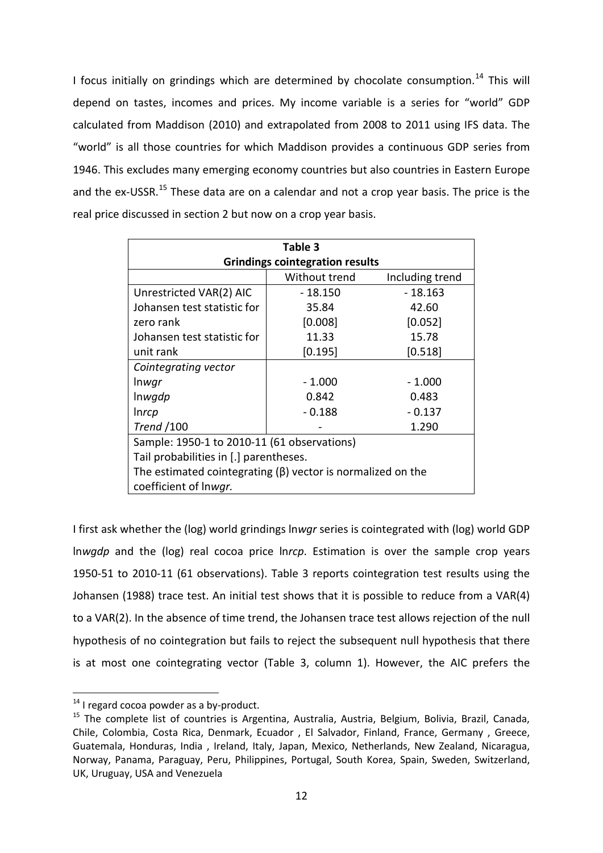I focus initially on grindings which are determined by chocolate consumption.<sup>[14](#page-12-0)</sup> This will depend on tastes, incomes and prices. My income variable is a series for "world" GDP calculated from Maddison (2010) and extrapolated from 2008 to 2011 using IFS data. The "world" is all those countries for which Maddison provides a continuous GDP series from 1946. This excludes many emerging economy countries but also countries in Eastern Europe and the ex-USSR.<sup>[15](#page-12-1)</sup> These data are on a calendar and not a crop year basis. The price is the real price discussed in section 2 but now on a crop year basis.

| Table 3                                                           |          |           |  |  |  |  |  |  |
|-------------------------------------------------------------------|----------|-----------|--|--|--|--|--|--|
| <b>Grindings cointegration results</b>                            |          |           |  |  |  |  |  |  |
| Including trend<br>Without trend                                  |          |           |  |  |  |  |  |  |
| Unrestricted VAR(2) AIC                                           | - 18.150 | $-18.163$ |  |  |  |  |  |  |
| Johansen test statistic for                                       | 35.84    | 42.60     |  |  |  |  |  |  |
| zero rank                                                         | [0.008]  | [0.052]   |  |  |  |  |  |  |
| Johansen test statistic for                                       | 11.33    | 15.78     |  |  |  |  |  |  |
| [0.195]<br>[0.518]<br>unit rank                                   |          |           |  |  |  |  |  |  |
| Cointegrating vector                                              |          |           |  |  |  |  |  |  |
| <i>Inwgr</i>                                                      | $-1.000$ | $-1.000$  |  |  |  |  |  |  |
| Inwgdp<br>0.842<br>0.483                                          |          |           |  |  |  |  |  |  |
| <i>Inrcp</i>                                                      | $-0.188$ | $-0.137$  |  |  |  |  |  |  |
| <b>Trend</b> /100                                                 |          | 1.290     |  |  |  |  |  |  |
| Sample: 1950-1 to 2010-11 (61 observations)                       |          |           |  |  |  |  |  |  |
| Tail probabilities in [.] parentheses.                            |          |           |  |  |  |  |  |  |
| The estimated cointegrating $(\beta)$ vector is normalized on the |          |           |  |  |  |  |  |  |
| coefficient of Inwgr.                                             |          |           |  |  |  |  |  |  |

I first ask whether the (log) world grindings ln*wgr* series is cointegrated with (log) world GDP ln*wgdp* and the (log) real cocoa price ln*rcp*. Estimation is over the sample crop years 1950-51 to 2010-11 (61 observations). Table 3 reports cointegration test results using the Johansen (1988) trace test. An initial test shows that it is possible to reduce from a VAR(4) to a VAR(2). In the absence of time trend, the Johansen trace test allows rejection of the null hypothesis of no cointegration but fails to reject the subsequent null hypothesis that there is at most one cointegrating vector (Table 3, column 1). However, the AIC prefers the

<span id="page-12-0"></span> $14$  I regard cocoa powder as a by-product.

<span id="page-12-1"></span><sup>&</sup>lt;sup>15</sup> The complete list of countries is Argentina, Australia, Austria, Belgium, Bolivia, Brazil, Canada, Chile, Colombia, Costa Rica, Denmark, Ecuador , El Salvador, Finland, France, Germany , Greece, Guatemala, Honduras, India , Ireland, Italy, Japan, Mexico, Netherlands, New Zealand, Nicaragua, Norway, Panama, Paraguay, Peru, Philippines, Portugal, South Korea, Spain, Sweden, Switzerland, UK, Uruguay, USA and Venezuela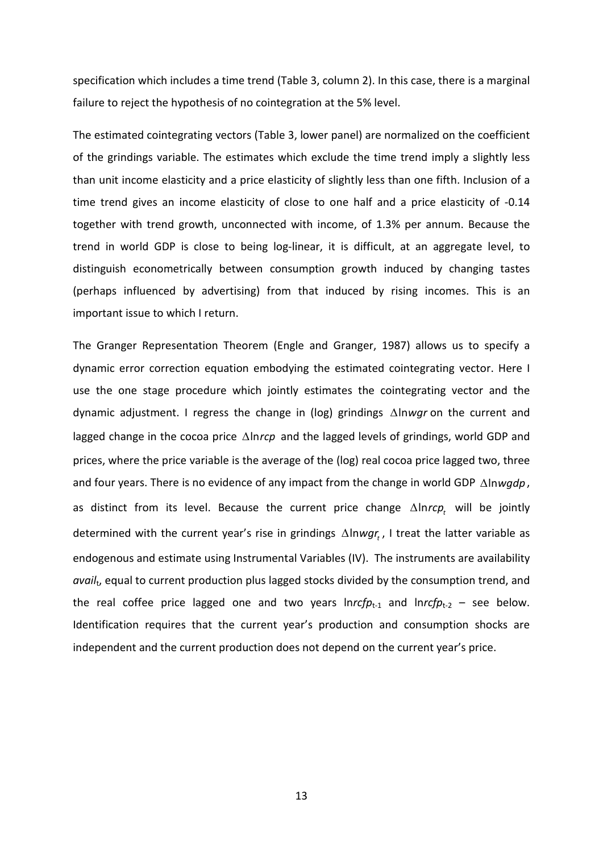specification which includes a time trend (Table 3, column 2). In this case, there is a marginal failure to reject the hypothesis of no cointegration at the 5% level.

The estimated cointegrating vectors (Table 3, lower panel) are normalized on the coefficient of the grindings variable. The estimates which exclude the time trend imply a slightly less than unit income elasticity and a price elasticity of slightly less than one fifth. Inclusion of a time trend gives an income elasticity of close to one half and a price elasticity of -0.14 together with trend growth, unconnected with income, of 1.3% per annum. Because the trend in world GDP is close to being log-linear, it is difficult, at an aggregate level, to distinguish econometrically between consumption growth induced by changing tastes (perhaps influenced by advertising) from that induced by rising incomes. This is an important issue to which I return.

The Granger Representation Theorem (Engle and Granger, 1987) allows us to specify a dynamic error correction equation embodying the estimated cointegrating vector. Here I use the one stage procedure which jointly estimates the cointegrating vector and the dynamic adjustment. I regress the change in (log) grindings ∆ln*wgr* on the current and lagged change in the cocoa price ∆ln*rcp* and the lagged levels of grindings, world GDP and prices, where the price variable is the average of the (log) real cocoa price lagged two, three and four years. There is no evidence of any impact from the change in world GDP ∆ln*wgdp*, as distinct from its level. Because the current price change ∆ *hrcp*, will be jointly determined with the current year's rise in grindings ∆lnwgr,, I treat the latter variable as endogenous and estimate using Instrumental Variables (IV). The instruments are availability *avail*t, equal to current production plus lagged stocks divided by the consumption trend, and the real coffee price lagged one and two years  $Inrcfp_{t-1}$  and  $Inrcfp_{t-2}$  – see below. Identification requires that the current year's production and consumption shocks are independent and the current production does not depend on the current year's price.

13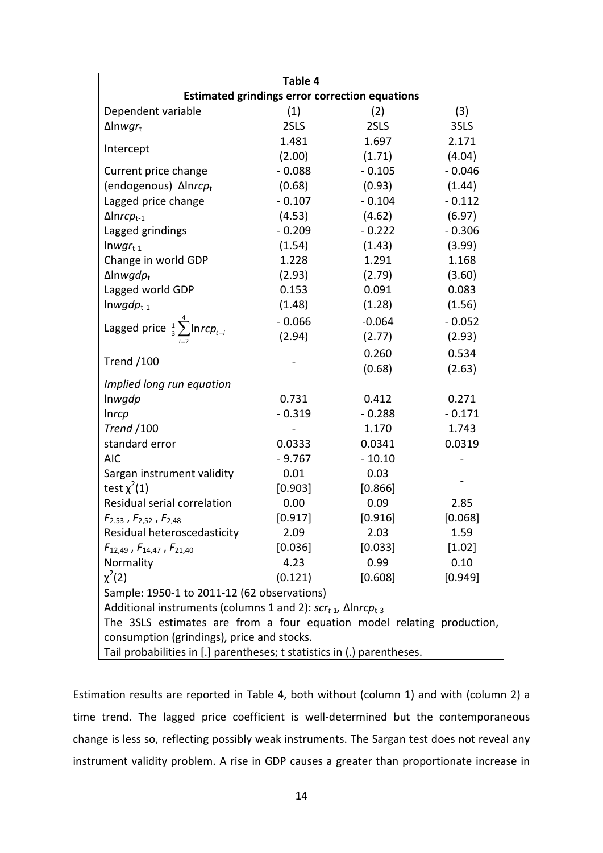| Table 4                                                                         |          |          |          |  |  |  |  |
|---------------------------------------------------------------------------------|----------|----------|----------|--|--|--|--|
| <b>Estimated grindings error correction equations</b>                           |          |          |          |  |  |  |  |
| Dependent variable                                                              | (1)      | (2)      | (3)      |  |  |  |  |
| $\Delta$ lnwgr <sub>t</sub>                                                     | 2SLS     | 2SLS     | 3SLS     |  |  |  |  |
| Intercept                                                                       | 1.481    | 1.697    | 2.171    |  |  |  |  |
|                                                                                 | (2.00)   | (1.71)   | (4.04)   |  |  |  |  |
| Current price change                                                            | $-0.088$ | $-0.105$ | $-0.046$ |  |  |  |  |
| (endogenous) Δlnrcpt                                                            | (0.68)   | (0.93)   | (1.44)   |  |  |  |  |
| Lagged price change                                                             | $-0.107$ | $-0.104$ | $-0.112$ |  |  |  |  |
| $\Delta$ Inrc $p_{t-1}$                                                         | (4.53)   | (4.62)   | (6.97)   |  |  |  |  |
| Lagged grindings                                                                | $-0.209$ | $-0.222$ | $-0.306$ |  |  |  |  |
| $Inwgr_{t-1}$                                                                   | (1.54)   | (1.43)   | (3.99)   |  |  |  |  |
| Change in world GDP                                                             | 1.228    | 1.291    | 1.168    |  |  |  |  |
| $\Delta$ lnwgd $p_t$                                                            | (2.93)   | (2.79)   | (3.60)   |  |  |  |  |
| Lagged world GDP                                                                | 0.153    | 0.091    | 0.083    |  |  |  |  |
| $ln wgdp_{t-1}$                                                                 | (1.48)   | (1.28)   | (1.56)   |  |  |  |  |
| Lagged price $\frac{1}{3}\sum_{n=1}^{4}$ Inrc $p_{t-i}$                         | $-0.066$ | $-0.064$ | $-0.052$ |  |  |  |  |
|                                                                                 | (2.94)   | (2.77)   | (2.93)   |  |  |  |  |
|                                                                                 |          | 0.260    | 0.534    |  |  |  |  |
| <b>Trend /100</b>                                                               |          | (0.68)   | (2.63)   |  |  |  |  |
| Implied long run equation                                                       |          |          |          |  |  |  |  |
| Inwgdp                                                                          | 0.731    | 0.412    | 0.271    |  |  |  |  |
| Inrcp                                                                           | $-0.319$ | $-0.288$ | $-0.171$ |  |  |  |  |
| <b>Trend</b> /100                                                               |          | 1.170    | 1.743    |  |  |  |  |
| standard error                                                                  | 0.0333   | 0.0341   | 0.0319   |  |  |  |  |
| <b>AIC</b>                                                                      | $-9.767$ | $-10.10$ |          |  |  |  |  |
| Sargan instrument validity                                                      | 0.01     | 0.03     |          |  |  |  |  |
| test $\chi^2(1)$                                                                | [0.903]  | [0.866]  |          |  |  |  |  |
| Residual serial correlation                                                     | 0.00     | 0.09     | 2.85     |  |  |  |  |
| $F_{2.53}$ , $F_{2,52}$ , $F_{2,48}$                                            | [0.917]  | [0.916]  | [0.068]  |  |  |  |  |
| Residual heteroscedasticity                                                     | 2.09     | 2.03     | 1.59     |  |  |  |  |
| $F_{12,49}$ , $F_{14,47}$ , $F_{21,40}$                                         | [0.036]  | [0.033]  | [1.02]   |  |  |  |  |
| Normality                                                                       | 4.23     | 0.99     | 0.10     |  |  |  |  |
| $\chi^2(2)$                                                                     | (0.121)  | [0.608]  | [0.949]  |  |  |  |  |
| Sample: 1950-1 to 2011-12 (62 observations)                                     |          |          |          |  |  |  |  |
| Additional instruments (columns 1 and 2): $scr_{t-1}$ , $\Delta$ Inrc $p_{t-3}$ |          |          |          |  |  |  |  |
| The 3SLS estimates are from a four equation model relating production,          |          |          |          |  |  |  |  |
| consumption (grindings), price and stocks.                                      |          |          |          |  |  |  |  |
| Tail probabilities in [.] parentheses; t statistics in (.) parentheses.         |          |          |          |  |  |  |  |

Estimation results are reported in Table 4, both without (column 1) and with (column 2) a time trend. The lagged price coefficient is well-determined but the contemporaneous change is less so, reflecting possibly weak instruments. The Sargan test does not reveal any instrument validity problem. A rise in GDP causes a greater than proportionate increase in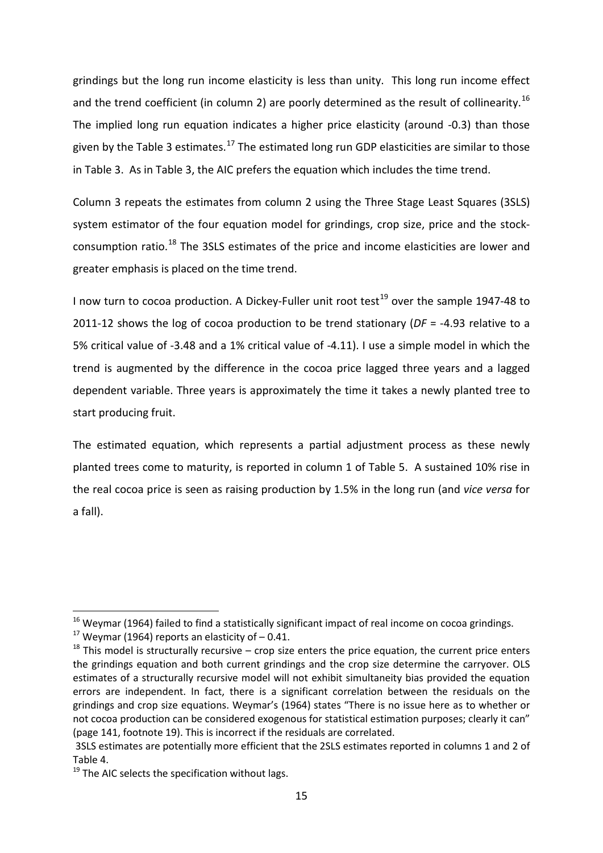grindings but the long run income elasticity is less than unity. This long run income effect and the trend coefficient (in column 2) are poorly determined as the result of collinearity.<sup>[16](#page-15-0)</sup> The implied long run equation indicates a higher price elasticity (around -0.3) than those given by the Table 3 estimates.<sup>[17](#page-15-1)</sup> The estimated long run GDP elasticities are similar to those in Table 3. As in Table 3, the AIC prefers the equation which includes the time trend.

Column 3 repeats the estimates from column 2 using the Three Stage Least Squares (3SLS) system estimator of the four equation model for grindings, crop size, price and the stock-consumption ratio.<sup>[18](#page-15-2)</sup> The 3SLS estimates of the price and income elasticities are lower and greater emphasis is placed on the time trend.

I now turn to cocoa production. A Dickey-Fuller unit root test<sup>[19](#page-15-3)</sup> over the sample 1947-48 to 2011-12 shows the log of cocoa production to be trend stationary (*DF* = -4.93 relative to a 5% critical value of -3.48 and a 1% critical value of -4.11). I use a simple model in which the trend is augmented by the difference in the cocoa price lagged three years and a lagged dependent variable. Three years is approximately the time it takes a newly planted tree to start producing fruit.

The estimated equation, which represents a partial adjustment process as these newly planted trees come to maturity, is reported in column 1 of Table 5. A sustained 10% rise in the real cocoa price is seen as raising production by 1.5% in the long run (and *vice versa* for a fall).

<span id="page-15-0"></span><sup>&</sup>lt;sup>16</sup> Weymar (1964) failed to find a statistically significant impact of real income on cocoa grindings.<br><sup>17</sup> Weymar (1964) reports an elasticity of – 0.41.

<span id="page-15-1"></span>

<span id="page-15-2"></span> $18$  This model is structurally recursive – crop size enters the price equation, the current price enters the grindings equation and both current grindings and the crop size determine the carryover. OLS estimates of a structurally recursive model will not exhibit simultaneity bias provided the equation errors are independent. In fact, there is a significant correlation between the residuals on the grindings and crop size equations. Weymar's (1964) states "There is no issue here as to whether or not cocoa production can be considered exogenous for statistical estimation purposes; clearly it can" (page 141, footnote 19). This is incorrect if the residuals are correlated.

<sup>3</sup>SLS estimates are potentially more efficient that the 2SLS estimates reported in columns 1 and 2 of Table 4.

<span id="page-15-3"></span> $19$  The AIC selects the specification without lags.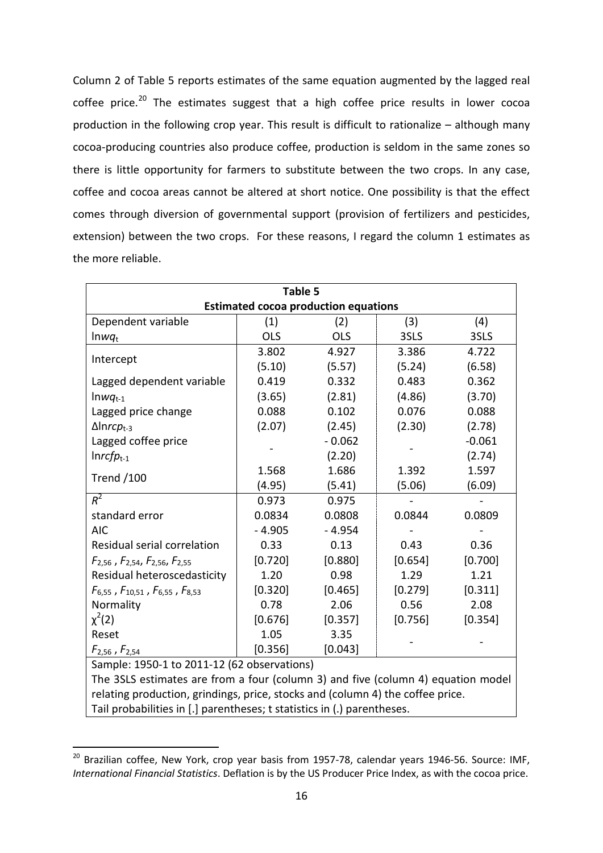Column 2 of Table 5 reports estimates of the same equation augmented by the lagged real coffee price.<sup>[20](#page-16-0)</sup> The estimates suggest that a high coffee price results in lower cocoa production in the following crop year. This result is difficult to rationalize – although many cocoa-producing countries also produce coffee, production is seldom in the same zones so there is little opportunity for farmers to substitute between the two crops. In any case, coffee and cocoa areas cannot be altered at short notice. One possibility is that the effect comes through diversion of governmental support (provision of fertilizers and pesticides, extension) between the two crops. For these reasons, I regard the column 1 estimates as the more reliable.

| Table 5                                                                          |            |                |         |          |  |  |  |  |
|----------------------------------------------------------------------------------|------------|----------------|---------|----------|--|--|--|--|
| <b>Estimated cocoa production equations</b>                                      |            |                |         |          |  |  |  |  |
| Dependent variable                                                               | (1)        | (2)            | (3)     | (4)      |  |  |  |  |
| $lmwq_t$                                                                         | <b>OLS</b> | <b>OLS</b>     | 3SLS    | 3SLS     |  |  |  |  |
| Intercept                                                                        | 3.802      | 4.927<br>3.386 |         | 4.722    |  |  |  |  |
|                                                                                  | (5.10)     | (5.57)         | (5.24)  | (6.58)   |  |  |  |  |
| Lagged dependent variable                                                        | 0.419      | 0.332          | 0.483   | 0.362    |  |  |  |  |
| $lmwq_{t-1}$                                                                     | (3.65)     | (2.81)         | (4.86)  | (3.70)   |  |  |  |  |
| Lagged price change                                                              | 0.088      | 0.102          | 0.076   | 0.088    |  |  |  |  |
| $\Delta$ Inrc $p_{t-3}$                                                          | (2.07)     | (2.45)         | (2.30)  | (2.78)   |  |  |  |  |
| Lagged coffee price                                                              |            | $-0.062$       |         | $-0.061$ |  |  |  |  |
| $Inrcfp_{t-1}$                                                                   |            | (2.20)         |         | (2.74)   |  |  |  |  |
| <b>Trend /100</b>                                                                | 1.568      | 1.686<br>1.392 |         | 1.597    |  |  |  |  |
|                                                                                  | (4.95)     | (5.41)         | (5.06)  | (6.09)   |  |  |  |  |
| $R^2$                                                                            | 0.973      | 0.975          |         |          |  |  |  |  |
| standard error                                                                   | 0.0834     | 0.0808         | 0.0844  | 0.0809   |  |  |  |  |
| <b>AIC</b>                                                                       | $-4.905$   | $-4.954$       |         |          |  |  |  |  |
| Residual serial correlation                                                      | 0.33       | 0.13           | 0.43    | 0.36     |  |  |  |  |
| $F_{2,56}$ , $F_{2,54}$ , $F_{2,56}$ , $F_{2,55}$                                | [0.720]    | [0.880]        | [0.654] | [0.700]  |  |  |  |  |
| Residual heteroscedasticity                                                      | 1.20       | 0.98           | 1.29    | 1.21     |  |  |  |  |
| $F_{6,55}$ , $F_{10,51}$ , $F_{6,55}$ , $F_{8,53}$                               | [0.320]    | [0.465]        | [0.279] | [0.311]  |  |  |  |  |
| Normality                                                                        | 0.78       | 2.06           | 0.56    | 2.08     |  |  |  |  |
| $\chi^2(2)$                                                                      | [0.676]    | [0.357]        | [0.756] | [0.354]  |  |  |  |  |
| Reset                                                                            | 1.05       | 3.35           |         |          |  |  |  |  |
| $F_{2,56}$ , $F_{2,54}$                                                          | [0.356]    | [0.043]        |         |          |  |  |  |  |
| Sample: 1950-1 to 2011-12 (62 observations)                                      |            |                |         |          |  |  |  |  |
| The 3SLS estimates are from a four (column 3) and five (column 4) equation model |            |                |         |          |  |  |  |  |
| relating production, grindings, price, stocks and (column 4) the coffee price.   |            |                |         |          |  |  |  |  |

Tail probabilities in [.] parentheses; t statistics in (.) parentheses.

<span id="page-16-0"></span><sup>&</sup>lt;sup>20</sup> Brazilian coffee, New York, crop year basis from 1957-78, calendar years 1946-56. Source: IMF, *International Financial Statistics*. Deflation is by the US Producer Price Index, as with the cocoa price.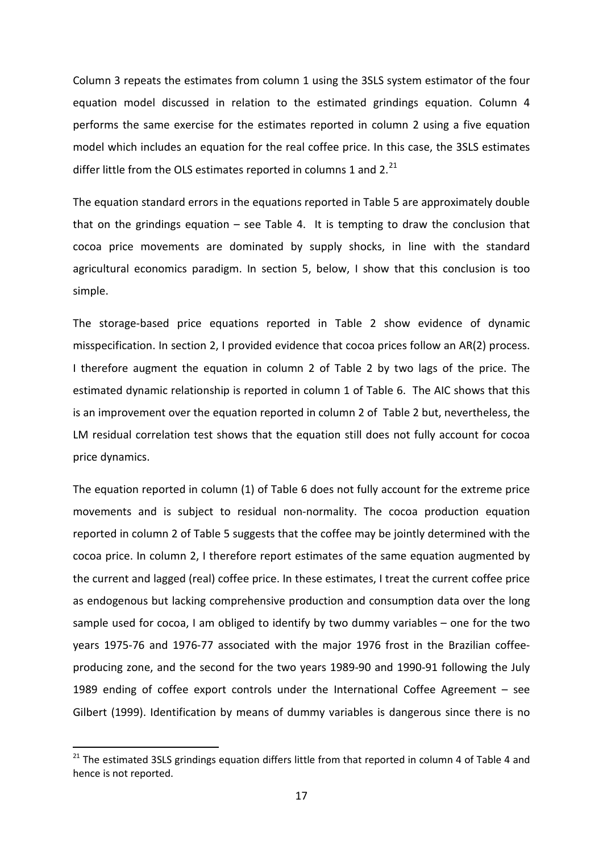Column 3 repeats the estimates from column 1 using the 3SLS system estimator of the four equation model discussed in relation to the estimated grindings equation. Column 4 performs the same exercise for the estimates reported in column 2 using a five equation model which includes an equation for the real coffee price. In this case, the 3SLS estimates differ little from the OLS estimates reported in columns 1 and  $2.^{21}$  $2.^{21}$  $2.^{21}$ 

The equation standard errors in the equations reported in Table 5 are approximately double that on the grindings equation – see Table 4. It is tempting to draw the conclusion that cocoa price movements are dominated by supply shocks, in line with the standard agricultural economics paradigm. In section 5, below, I show that this conclusion is too simple.

The storage-based price equations reported in Table 2 show evidence of dynamic misspecification. In section 2, I provided evidence that cocoa prices follow an AR(2) process. I therefore augment the equation in column 2 of Table 2 by two lags of the price. The estimated dynamic relationship is reported in column 1 of Table 6. The AIC shows that this is an improvement over the equation reported in column 2 of Table 2 but, nevertheless, the LM residual correlation test shows that the equation still does not fully account for cocoa price dynamics.

The equation reported in column (1) of Table 6 does not fully account for the extreme price movements and is subject to residual non-normality. The cocoa production equation reported in column 2 of Table 5 suggests that the coffee may be jointly determined with the cocoa price. In column 2, I therefore report estimates of the same equation augmented by the current and lagged (real) coffee price. In these estimates, I treat the current coffee price as endogenous but lacking comprehensive production and consumption data over the long sample used for cocoa, I am obliged to identify by two dummy variables – one for the two years 1975-76 and 1976-77 associated with the major 1976 frost in the Brazilian coffeeproducing zone, and the second for the two years 1989-90 and 1990-91 following the July 1989 ending of coffee export controls under the International Coffee Agreement – see Gilbert (1999). Identification by means of dummy variables is dangerous since there is no

<span id="page-17-0"></span><sup>&</sup>lt;sup>21</sup> The estimated 3SLS grindings equation differs little from that reported in column 4 of Table 4 and hence is not reported.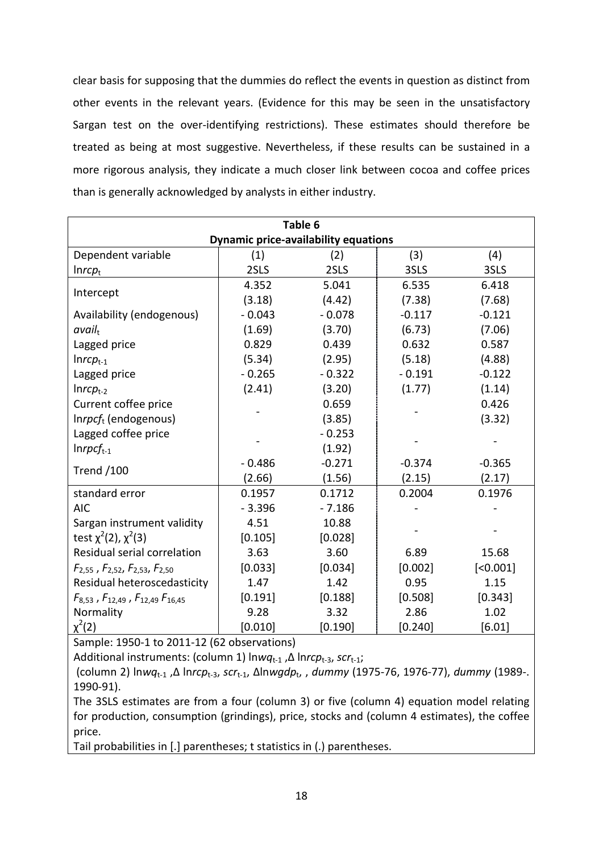clear basis for supposing that the dummies do reflect the events in question as distinct from other events in the relevant years. (Evidence for this may be seen in the unsatisfactory Sargan test on the over-identifying restrictions). These estimates should therefore be treated as being at most suggestive. Nevertheless, if these results can be sustained in a more rigorous analysis, they indicate a much closer link between cocoa and coffee prices than is generally acknowledged by analysts in either industry.

| Table 6                                              |          |          |          |          |  |  |  |  |
|------------------------------------------------------|----------|----------|----------|----------|--|--|--|--|
| <b>Dynamic price-availability equations</b>          |          |          |          |          |  |  |  |  |
| Dependent variable                                   | (1)      | (2)      | (3)      | (4)      |  |  |  |  |
| Inrep <sub>t</sub>                                   | 2SLS     | 2SLS     | 3SLS     | 3SLS     |  |  |  |  |
| Intercept                                            | 4.352    | 5.041    | 6.535    | 6.418    |  |  |  |  |
|                                                      | (3.18)   | (4.42)   | (7.38)   | (7.68)   |  |  |  |  |
| Availability (endogenous)                            | $-0.043$ | $-0.078$ | $-0.117$ | $-0.121$ |  |  |  |  |
| avail <sub>t</sub>                                   | (1.69)   | (3.70)   | (6.73)   | (7.06)   |  |  |  |  |
| Lagged price                                         | 0.829    | 0.439    | 0.632    | 0.587    |  |  |  |  |
| $Inrep_{t-1}$                                        | (5.34)   | (2.95)   | (5.18)   | (4.88)   |  |  |  |  |
| Lagged price                                         | $-0.265$ | $-0.322$ | $-0.191$ | $-0.122$ |  |  |  |  |
| $Inrept-2$                                           | (2.41)   | (3.20)   | (1.77)   | (1.14)   |  |  |  |  |
| Current coffee price                                 |          | 0.659    |          | 0.426    |  |  |  |  |
| $Inrpcft$ (endogenous)                               |          | (3.85)   |          | (3.32)   |  |  |  |  |
| Lagged coffee price                                  |          | $-0.253$ |          |          |  |  |  |  |
| $In rpcf_{t-1}$                                      |          | (1.92)   |          |          |  |  |  |  |
| <b>Trend /100</b>                                    | $-0.486$ | $-0.271$ | $-0.374$ | $-0.365$ |  |  |  |  |
|                                                      | (2.66)   | (1.56)   | (2.15)   | (2.17)   |  |  |  |  |
| standard error                                       | 0.1957   | 0.1712   | 0.2004   | 0.1976   |  |  |  |  |
| <b>AIC</b>                                           | $-3.396$ | $-7.186$ |          |          |  |  |  |  |
| Sargan instrument validity                           | 4.51     | 10.88    |          |          |  |  |  |  |
| test $\chi^2(2)$ , $\chi^2(3)$                       | [0.105]  | [0.028]  |          |          |  |  |  |  |
| Residual serial correlation                          | 3.63     | 3.60     | 6.89     | 15.68    |  |  |  |  |
| $F_{2,55}$ , $F_{2,52}$ , $F_{2,53}$ , $F_{2,50}$    | [0.033]  | [0.034]  | [0.002]  | [<0.001] |  |  |  |  |
| Residual heteroscedasticity                          | 1.47     | 1.42     | 0.95     | 1.15     |  |  |  |  |
| $F_{8,53}$ , $F_{12,49}$ , $F_{12,49}$ , $F_{16,45}$ | [0.191]  | [0.188]  | [0.508]  | [0.343]  |  |  |  |  |
| Normality                                            | 9.28     | 3.32     | 2.86     | 1.02     |  |  |  |  |
| $\chi^2(2)$                                          | [0.010]  | [0.190]  | [0.240]  | [6.01]   |  |  |  |  |

Sample: 1950-1 to 2011-12 (62 observations)

Additional instruments: (column 1) ln*wq*t-1 ,Δ ln*rcp*t-3, *scr*t-1;

(column 2) ln*wq*t-1 ,Δ ln*rcp*t-3, *scr*t-1, Δln*wgdp*t, , *dummy* (1975-76, 1976-77), *dummy* (1989-. 1990-91).

The 3SLS estimates are from a four (column 3) or five (column 4) equation model relating for production, consumption (grindings), price, stocks and (column 4 estimates), the coffee price.

Tail probabilities in [.] parentheses; t statistics in (.) parentheses.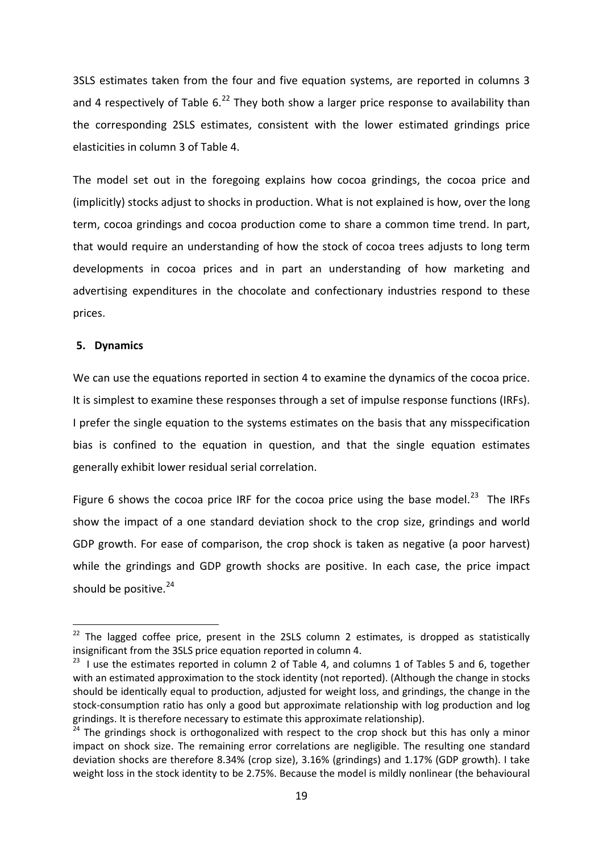3SLS estimates taken from the four and five equation systems, are reported in columns 3 and 4 respectively of Table  $6.^{22}$  $6.^{22}$  $6.^{22}$  They both show a larger price response to availability than the corresponding 2SLS estimates, consistent with the lower estimated grindings price elasticities in column 3 of Table 4.

The model set out in the foregoing explains how cocoa grindings, the cocoa price and (implicitly) stocks adjust to shocks in production. What is not explained is how, over the long term, cocoa grindings and cocoa production come to share a common time trend. In part, that would require an understanding of how the stock of cocoa trees adjusts to long term developments in cocoa prices and in part an understanding of how marketing and advertising expenditures in the chocolate and confectionary industries respond to these prices.

#### **5. Dynamics**

We can use the equations reported in section 4 to examine the dynamics of the cocoa price. It is simplest to examine these responses through a set of impulse response functions (IRFs). I prefer the single equation to the systems estimates on the basis that any misspecification bias is confined to the equation in question, and that the single equation estimates generally exhibit lower residual serial correlation.

Figure 6 shows the cocoa price IRF for the cocoa price using the base model.<sup>23</sup> The IRFs show the impact of a one standard deviation shock to the crop size, grindings and world GDP growth. For ease of comparison, the crop shock is taken as negative (a poor harvest) while the grindings and GDP growth shocks are positive. In each case, the price impact should be positive. $24$ 

 $22$  The lagged coffee price, present in the 2SLS column 2 estimates, is dropped as statistically insignificant from the 3SLS price equation reported in column 4.

<span id="page-19-0"></span><sup>&</sup>lt;sup>23</sup> I use the estimates reported in column 2 of Table 4, and columns 1 of Tables 5 and 6, together with an estimated approximation to the stock identity (not reported). (Although the change in stocks should be identically equal to production, adjusted for weight loss, and grindings, the change in the stock-consumption ratio has only a good but approximate relationship with log production and log grindings. It is therefore necessary to estimate this approximate relationship).

<span id="page-19-1"></span><sup>&</sup>lt;sup>24</sup> The grindings shock is orthogonalized with respect to the crop shock but this has only a minor impact on shock size. The remaining error correlations are negligible. The resulting one standard deviation shocks are therefore 8.34% (crop size), 3.16% (grindings) and 1.17% (GDP growth). I take weight loss in the stock identity to be 2.75%. Because the model is mildly nonlinear (the behavioural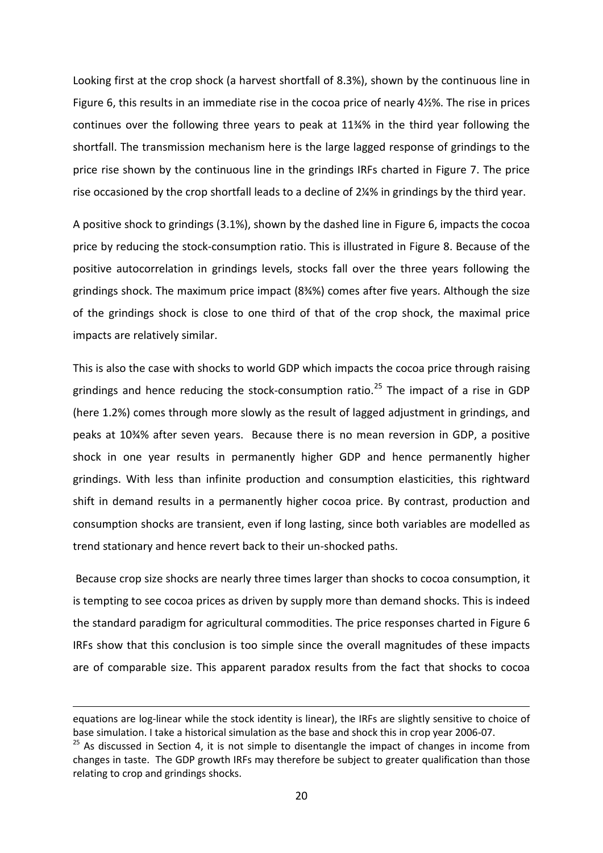Looking first at the crop shock (a harvest shortfall of 8.3%), shown by the continuous line in Figure 6, this results in an immediate rise in the cocoa price of nearly 4½%. The rise in prices continues over the following three years to peak at 11¾% in the third year following the shortfall. The transmission mechanism here is the large lagged response of grindings to the price rise shown by the continuous line in the grindings IRFs charted in Figure 7. The price rise occasioned by the crop shortfall leads to a decline of 2¼% in grindings by the third year.

A positive shock to grindings (3.1%), shown by the dashed line in Figure 6, impacts the cocoa price by reducing the stock-consumption ratio. This is illustrated in Figure 8. Because of the positive autocorrelation in grindings levels, stocks fall over the three years following the grindings shock. The maximum price impact (8¾%) comes after five years. Although the size of the grindings shock is close to one third of that of the crop shock, the maximal price impacts are relatively similar.

This is also the case with shocks to world GDP which impacts the cocoa price through raising grindings and hence reducing the stock-consumption ratio.<sup>[25](#page-20-1)</sup> The impact of a rise in GDP (here 1.2%) comes through more slowly as the result of lagged adjustment in grindings, and peaks at 10¾% after seven years. Because there is no mean reversion in GDP, a positive shock in one year results in permanently higher GDP and hence permanently higher grindings. With less than infinite production and consumption elasticities, this rightward shift in demand results in a permanently higher cocoa price. By contrast, production and consumption shocks are transient, even if long lasting, since both variables are modelled as trend stationary and hence revert back to their un-shocked paths.

Because crop size shocks are nearly three times larger than shocks to cocoa consumption, it is tempting to see cocoa prices as driven by supply more than demand shocks. This is indeed the standard paradigm for agricultural commodities. The price responses charted in Figure 6 IRFs show that this conclusion is too simple since the overall magnitudes of these impacts are of comparable size. This apparent paradox results from the fact that shocks to cocoa

<span id="page-20-0"></span>**.** 

equations are log-linear while the stock identity is linear), the IRFs are slightly sensitive to choice of base simulation. I take a historical simulation as the base and shock this in crop year 2006-07.

<span id="page-20-1"></span> $25$  As discussed in Section 4, it is not simple to disentangle the impact of changes in income from changes in taste. The GDP growth IRFs may therefore be subject to greater qualification than those relating to crop and grindings shocks.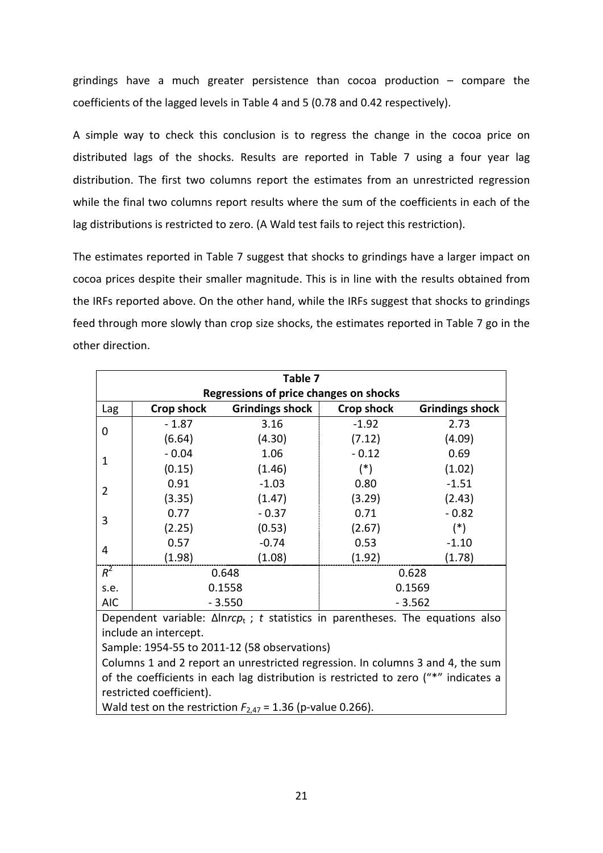grindings have a much greater persistence than cocoa production – compare the coefficients of the lagged levels in Table 4 and 5 (0.78 and 0.42 respectively).

A simple way to check this conclusion is to regress the change in the cocoa price on distributed lags of the shocks. Results are reported in Table 7 using a four year lag distribution. The first two columns report the estimates from an unrestricted regression while the final two columns report results where the sum of the coefficients in each of the lag distributions is restricted to zero. (A Wald test fails to reject this restriction).

The estimates reported in Table 7 suggest that shocks to grindings have a larger impact on cocoa prices despite their smaller magnitude. This is in line with the results obtained from the IRFs reported above. On the other hand, while the IRFs suggest that shocks to grindings feed through more slowly than crop size shocks, the estimates reported in Table 7 go in the other direction.

| Table 7                                       |                        |                             |                        |  |  |  |  |
|-----------------------------------------------|------------------------|-----------------------------|------------------------|--|--|--|--|
| <b>Regressions of price changes on shocks</b> |                        |                             |                        |  |  |  |  |
| <b>Crop shock</b>                             | <b>Grindings shock</b> | <b>Crop shock</b>           | <b>Grindings shock</b> |  |  |  |  |
| $-1.87$                                       | 3.16                   | $-1.92$                     | 2.73                   |  |  |  |  |
| (6.64)                                        | (4.30)                 | (7.12)                      | (4.09)                 |  |  |  |  |
| $-0.04$                                       | 1.06                   | $-0.12$                     | 0.69                   |  |  |  |  |
| (0.15)                                        | (1.46)                 | $(*)$                       | (1.02)                 |  |  |  |  |
| 0.91                                          | $-1.03$                | 0.80                        | $-1.51$                |  |  |  |  |
| (3.35)                                        | (1.47)                 | (3.29)                      | (2.43)                 |  |  |  |  |
| 0.77                                          | $-0.37$                | 0.71                        | $-0.82$                |  |  |  |  |
| (2.25)                                        | (0.53)                 | (2.67)                      | $(*)$                  |  |  |  |  |
| 0.57                                          | $-0.74$                | 0.53                        | $-1.10$                |  |  |  |  |
| (1.98)                                        | (1.08)                 | (1.92)                      | (1.78)                 |  |  |  |  |
|                                               |                        | 0.628                       |                        |  |  |  |  |
|                                               |                        | 0.1569                      |                        |  |  |  |  |
|                                               |                        | $-3.562$                    |                        |  |  |  |  |
|                                               |                        | 0.648<br>0.1558<br>$-3.550$ |                        |  |  |  |  |

Dependent variable: Δln*rcp*t ; *t* statistics in parentheses. The equations also include an intercept.

Sample: 1954-55 to 2011-12 (58 observations)

Columns 1 and 2 report an unrestricted regression. In columns 3 and 4, the sum of the coefficients in each lag distribution is restricted to zero ("\*" indicates a restricted coefficient).

Wald test on the restriction  $F_{2,47}$  = 1.36 (p-value 0.266).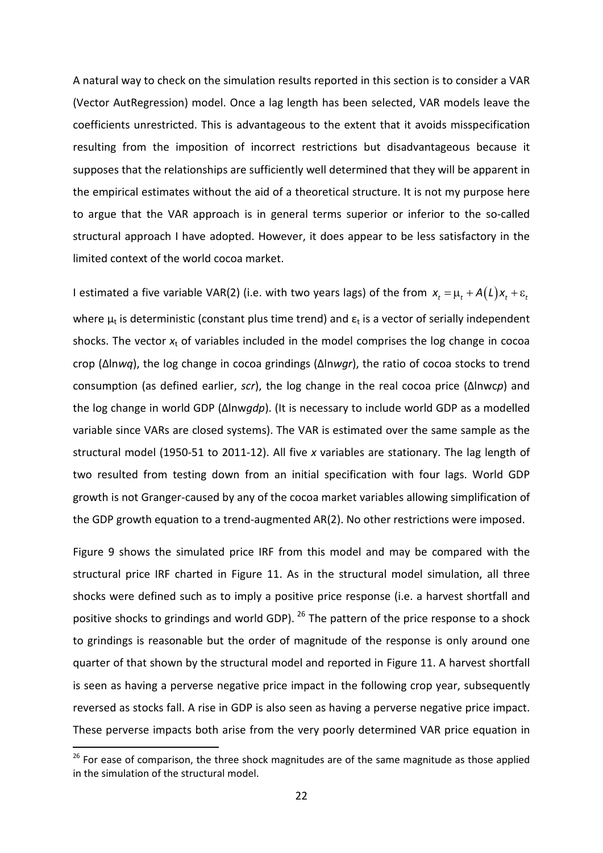A natural way to check on the simulation results reported in this section is to consider a VAR (Vector AutRegression) model. Once a lag length has been selected, VAR models leave the coefficients unrestricted. This is advantageous to the extent that it avoids misspecification resulting from the imposition of incorrect restrictions but disadvantageous because it supposes that the relationships are sufficiently well determined that they will be apparent in the empirical estimates without the aid of a theoretical structure. It is not my purpose here to argue that the VAR approach is in general terms superior or inferior to the so-called structural approach I have adopted. However, it does appear to be less satisfactory in the limited context of the world cocoa market.

I estimated a five variable VAR(2) (i.e. with two years lags) of the from  $x_t = \mu_t + A(L)x_t + \varepsilon_t$ where  $\mu_t$  is deterministic (constant plus time trend) and  $\varepsilon_t$  is a vector of serially independent shocks. The vector  $x_t$  of variables included in the model comprises the log change in cocoa crop (Δln*wq*), the log change in cocoa grindings (Δln*wgr*), the ratio of cocoa stocks to trend consumption (as defined earlier, *scr*), the log change in the real cocoa price (Δlnwc*p*) and the log change in world GDP (Δlnw*gdp*). (It is necessary to include world GDP as a modelled variable since VARs are closed systems). The VAR is estimated over the same sample as the structural model (1950-51 to 2011-12). All five *x* variables are stationary. The lag length of two resulted from testing down from an initial specification with four lags. World GDP growth is not Granger-caused by any of the cocoa market variables allowing simplification of the GDP growth equation to a trend-augmented AR(2). No other restrictions were imposed.

Figure 9 shows the simulated price IRF from this model and may be compared with the structural price IRF charted in Figure 11. As in the structural model simulation, all three shocks were defined such as to imply a positive price response (i.e. a harvest shortfall and positive shocks to grindings and world GDP). <sup>[26](#page-22-0)</sup> The pattern of the price response to a shock to grindings is reasonable but the order of magnitude of the response is only around one quarter of that shown by the structural model and reported in Figure 11. A harvest shortfall is seen as having a perverse negative price impact in the following crop year, subsequently reversed as stocks fall. A rise in GDP is also seen as having a perverse negative price impact. These perverse impacts both arise from the very poorly determined VAR price equation in

<span id="page-22-0"></span> $26$  For ease of comparison, the three shock magnitudes are of the same magnitude as those applied in the simulation of the structural model.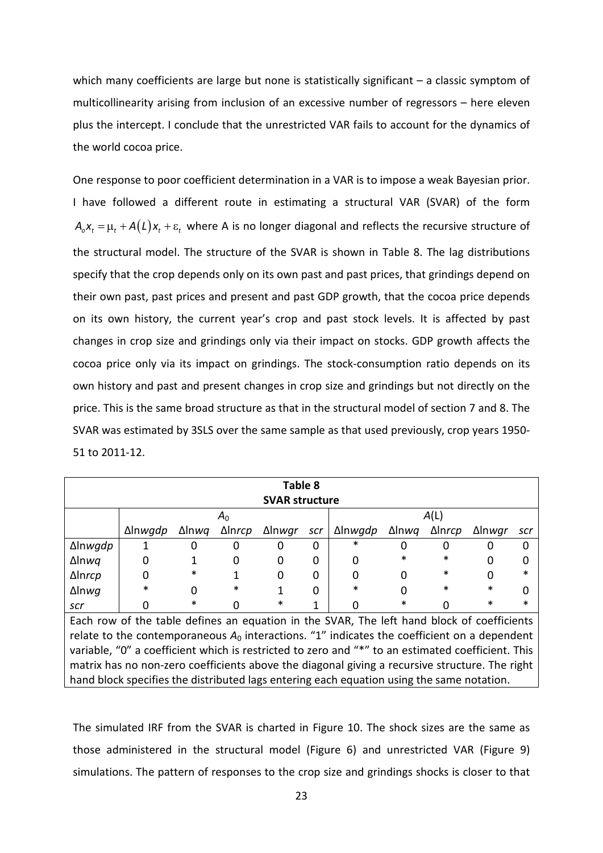which many coefficients are large but none is statistically significant – a classic symptom of multicollinearity arising from inclusion of an excessive number of regressors – here eleven plus the intercept. I conclude that the unrestricted VAR fails to account for the dynamics of the world cocoa price.

One response to poor coefficient determination in a VAR is to impose a weak Bayesian prior. I have followed a different route in estimating a structural VAR (SVAR) of the form  $A_0X_t = \mu_t + A(L)X_t + \varepsilon_t$  where A is no longer diagonal and reflects the recursive structure of the structural model. The structure of the SVAR is shown in Table 8. The lag distributions specify that the crop depends only on its own past and past prices, that grindings depend on their own past, past prices and present and past GDP growth, that the cocoa price depends on its own history, the current year's crop and past stock levels. It is affected by past changes in crop size and grindings only via their impact on stocks. GDP growth affects the cocoa price only via its impact on grindings. The stock-consumption ratio depends on its own history and past and present changes in crop size and grindings but not directly on the price. This is the same broad structure as that in the structural model of section 7 and 8. The SVAR was estimated by 3SLS over the same sample as that used previously, crop years 1950- 51 to 2011-12.

| Table 8                                                                                           |                |               |        |        |     |                 |               |        |        |     |
|---------------------------------------------------------------------------------------------------|----------------|---------------|--------|--------|-----|-----------------|---------------|--------|--------|-----|
| <b>SVAR structure</b>                                                                             |                |               |        |        |     |                 |               |        |        |     |
|                                                                                                   | A <sub>0</sub> |               |        | A(L)   |     |                 |               |        |        |     |
|                                                                                                   | ∆lnwgdp        | $\Delta$ lnwg | ∆lnrcp | ∆lnwgr | scr | ∆ln <i>wgdp</i> | $\Delta$ lnwg | ∆lnrcp | ∆lnwgr | scr |
| Δlnwgdp                                                                                           |                | 0             | 0      | Ω      | 0   | *               |               | 0      |        | 0   |
| $\Delta$ lnwq                                                                                     | 0              |               | 0      | 0      | 0   | 0               | *             | *      |        | 0   |
| Δlnrcp                                                                                            | 0              | $\ast$        |        | 0      | 0   | 0               | O             | *      |        | *   |
| $\Delta$ lnwg                                                                                     | $\ast$         | 0             | *      |        | ი   | *               |               | *      | *      | 0   |
| scr                                                                                               | 0              | *             |        | ∗      |     |                 | ∗             |        | *      |     |
| Each row of the table defines an equation in the SVAR, The left hand block of coefficients        |                |               |        |        |     |                 |               |        |        |     |
| relate to the contemporaneous $A_0$ interactions. "1" indicates the coefficient on a dependent    |                |               |        |        |     |                 |               |        |        |     |
| variable, "0" a coefficient which is restricted to zero and "*" to an estimated coefficient. This |                |               |        |        |     |                 |               |        |        |     |
| matrix has no non-zero coefficients above the diagonal giving a recursive structure. The right    |                |               |        |        |     |                 |               |        |        |     |
| hand block specifies the distributed lags entering each equation using the same notation.         |                |               |        |        |     |                 |               |        |        |     |

The simulated IRF from the SVAR is charted in Figure 10. The shock sizes are the same as those administered in the structural model (Figure 6) and unrestricted VAR (Figure 9) simulations. The pattern of responses to the crop size and grindings shocks is closer to that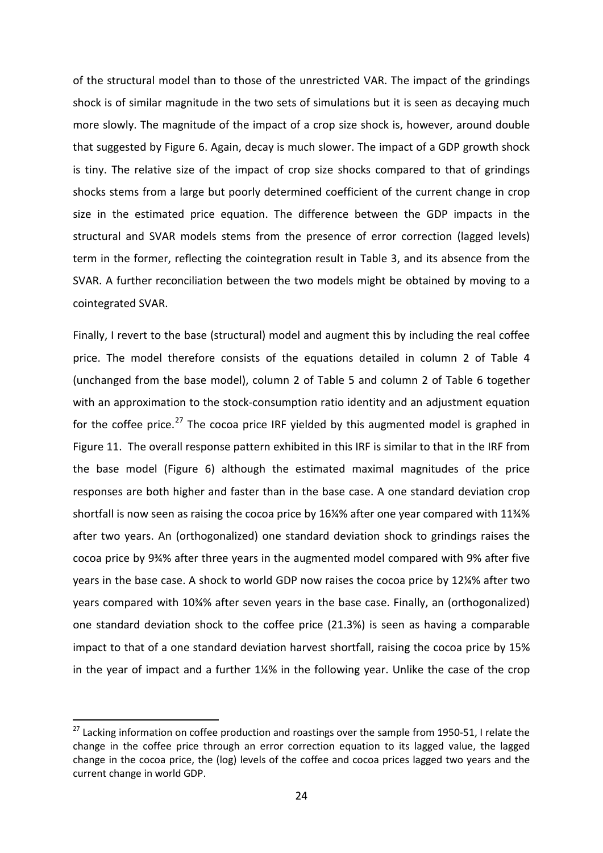of the structural model than to those of the unrestricted VAR. The impact of the grindings shock is of similar magnitude in the two sets of simulations but it is seen as decaying much more slowly. The magnitude of the impact of a crop size shock is, however, around double that suggested by Figure 6. Again, decay is much slower. The impact of a GDP growth shock is tiny. The relative size of the impact of crop size shocks compared to that of grindings shocks stems from a large but poorly determined coefficient of the current change in crop size in the estimated price equation. The difference between the GDP impacts in the structural and SVAR models stems from the presence of error correction (lagged levels) term in the former, reflecting the cointegration result in Table 3, and its absence from the SVAR. A further reconciliation between the two models might be obtained by moving to a cointegrated SVAR.

Finally, I revert to the base (structural) model and augment this by including the real coffee price. The model therefore consists of the equations detailed in column 2 of Table 4 (unchanged from the base model), column 2 of Table 5 and column 2 of Table 6 together with an approximation to the stock-consumption ratio identity and an adjustment equation for the coffee price.<sup>[27](#page-24-0)</sup> The cocoa price IRF yielded by this augmented model is graphed in Figure 11. The overall response pattern exhibited in this IRF is similar to that in the IRF from the base model (Figure 6) although the estimated maximal magnitudes of the price responses are both higher and faster than in the base case. A one standard deviation crop shortfall is now seen as raising the cocoa price by 16¼% after one year compared with 11¾% after two years. An (orthogonalized) one standard deviation shock to grindings raises the cocoa price by 9¾% after three years in the augmented model compared with 9% after five years in the base case. A shock to world GDP now raises the cocoa price by 12¼% after two years compared with 10¾% after seven years in the base case. Finally, an (orthogonalized) one standard deviation shock to the coffee price (21.3%) is seen as having a comparable impact to that of a one standard deviation harvest shortfall, raising the cocoa price by 15% in the year of impact and a further 1¼% in the following year. Unlike the case of the crop

<span id="page-24-0"></span> $27$  Lacking information on coffee production and roastings over the sample from 1950-51, I relate the change in the coffee price through an error correction equation to its lagged value, the lagged change in the cocoa price, the (log) levels of the coffee and cocoa prices lagged two years and the current change in world GDP.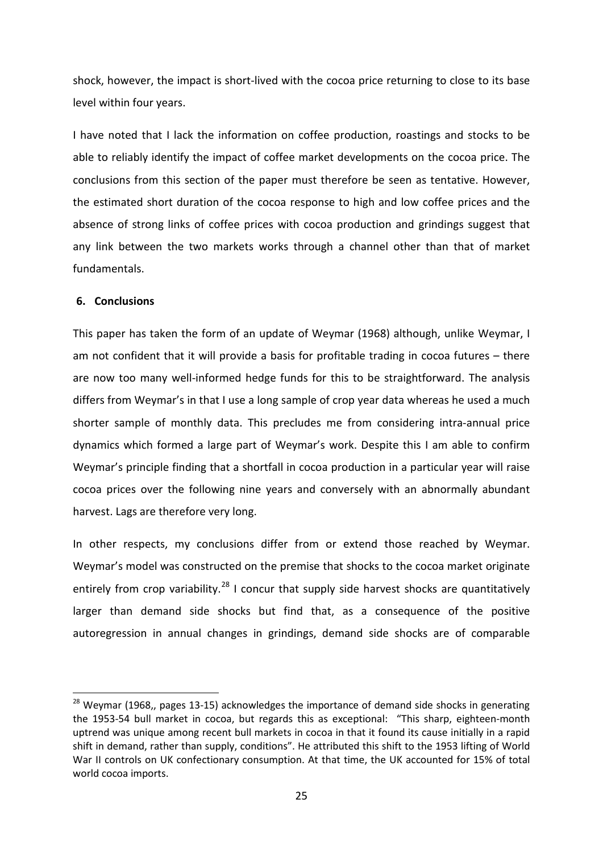shock, however, the impact is short-lived with the cocoa price returning to close to its base level within four years.

I have noted that I lack the information on coffee production, roastings and stocks to be able to reliably identify the impact of coffee market developments on the cocoa price. The conclusions from this section of the paper must therefore be seen as tentative. However, the estimated short duration of the cocoa response to high and low coffee prices and the absence of strong links of coffee prices with cocoa production and grindings suggest that any link between the two markets works through a channel other than that of market fundamentals.

#### **6. Conclusions**

This paper has taken the form of an update of Weymar (1968) although, unlike Weymar, I am not confident that it will provide a basis for profitable trading in cocoa futures – there are now too many well-informed hedge funds for this to be straightforward. The analysis differs from Weymar's in that I use a long sample of crop year data whereas he used a much shorter sample of monthly data. This precludes me from considering intra-annual price dynamics which formed a large part of Weymar's work. Despite this I am able to confirm Weymar's principle finding that a shortfall in cocoa production in a particular year will raise cocoa prices over the following nine years and conversely with an abnormally abundant harvest. Lags are therefore very long.

In other respects, my conclusions differ from or extend those reached by Weymar. Weymar's model was constructed on the premise that shocks to the cocoa market originate entirely from crop variability.<sup>[28](#page-25-0)</sup> I concur that supply side harvest shocks are quantitatively larger than demand side shocks but find that, as a consequence of the positive autoregression in annual changes in grindings, demand side shocks are of comparable

<span id="page-25-0"></span> $28$  Weymar (1968,, pages 13-15) acknowledges the importance of demand side shocks in generating the 1953-54 bull market in cocoa, but regards this as exceptional: "This sharp, eighteen-month uptrend was unique among recent bull markets in cocoa in that it found its cause initially in a rapid shift in demand, rather than supply, conditions". He attributed this shift to the 1953 lifting of World War II controls on UK confectionary consumption. At that time, the UK accounted for 15% of total world cocoa imports.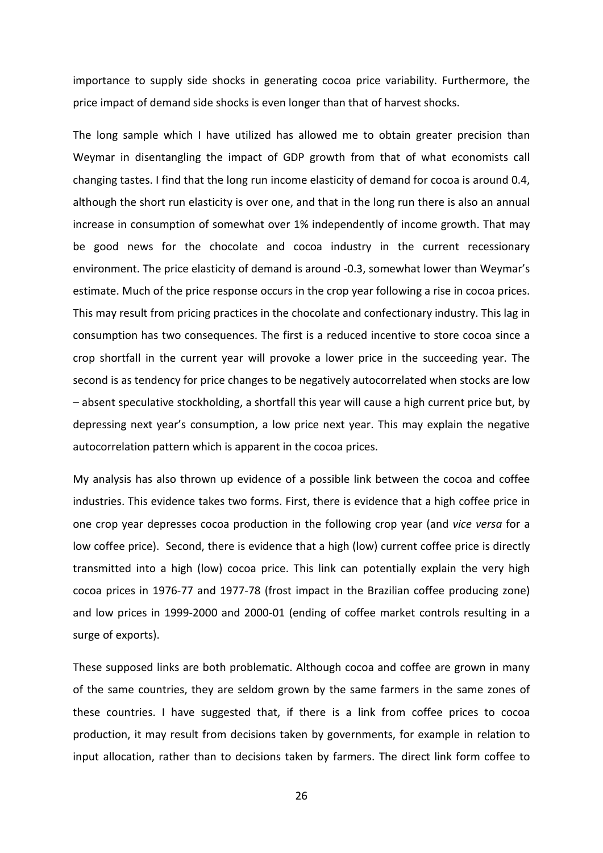importance to supply side shocks in generating cocoa price variability. Furthermore, the price impact of demand side shocks is even longer than that of harvest shocks.

The long sample which I have utilized has allowed me to obtain greater precision than Weymar in disentangling the impact of GDP growth from that of what economists call changing tastes. I find that the long run income elasticity of demand for cocoa is around 0.4, although the short run elasticity is over one, and that in the long run there is also an annual increase in consumption of somewhat over 1% independently of income growth. That may be good news for the chocolate and cocoa industry in the current recessionary environment. The price elasticity of demand is around -0.3, somewhat lower than Weymar's estimate. Much of the price response occurs in the crop year following a rise in cocoa prices. This may result from pricing practices in the chocolate and confectionary industry. This lag in consumption has two consequences. The first is a reduced incentive to store cocoa since a crop shortfall in the current year will provoke a lower price in the succeeding year. The second is as tendency for price changes to be negatively autocorrelated when stocks are low – absent speculative stockholding, a shortfall this year will cause a high current price but, by depressing next year's consumption, a low price next year. This may explain the negative autocorrelation pattern which is apparent in the cocoa prices.

My analysis has also thrown up evidence of a possible link between the cocoa and coffee industries. This evidence takes two forms. First, there is evidence that a high coffee price in one crop year depresses cocoa production in the following crop year (and *vice versa* for a low coffee price). Second, there is evidence that a high (low) current coffee price is directly transmitted into a high (low) cocoa price. This link can potentially explain the very high cocoa prices in 1976-77 and 1977-78 (frost impact in the Brazilian coffee producing zone) and low prices in 1999-2000 and 2000-01 (ending of coffee market controls resulting in a surge of exports).

These supposed links are both problematic. Although cocoa and coffee are grown in many of the same countries, they are seldom grown by the same farmers in the same zones of these countries. I have suggested that, if there is a link from coffee prices to cocoa production, it may result from decisions taken by governments, for example in relation to input allocation, rather than to decisions taken by farmers. The direct link form coffee to

26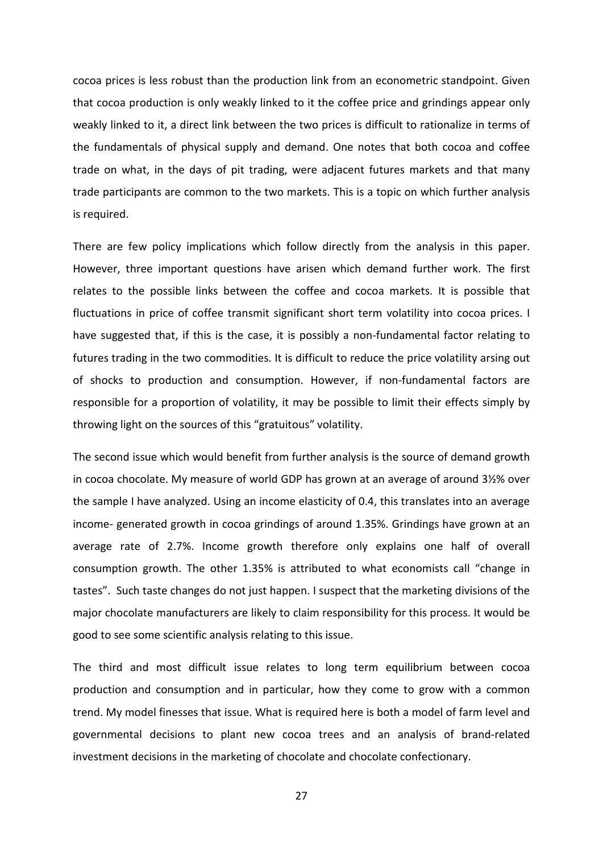cocoa prices is less robust than the production link from an econometric standpoint. Given that cocoa production is only weakly linked to it the coffee price and grindings appear only weakly linked to it, a direct link between the two prices is difficult to rationalize in terms of the fundamentals of physical supply and demand. One notes that both cocoa and coffee trade on what, in the days of pit trading, were adjacent futures markets and that many trade participants are common to the two markets. This is a topic on which further analysis is required.

There are few policy implications which follow directly from the analysis in this paper. However, three important questions have arisen which demand further work. The first relates to the possible links between the coffee and cocoa markets. It is possible that fluctuations in price of coffee transmit significant short term volatility into cocoa prices. I have suggested that, if this is the case, it is possibly a non-fundamental factor relating to futures trading in the two commodities. It is difficult to reduce the price volatility arsing out of shocks to production and consumption. However, if non-fundamental factors are responsible for a proportion of volatility, it may be possible to limit their effects simply by throwing light on the sources of this "gratuitous" volatility.

The second issue which would benefit from further analysis is the source of demand growth in cocoa chocolate. My measure of world GDP has grown at an average of around 3½% over the sample I have analyzed. Using an income elasticity of 0.4, this translates into an average income- generated growth in cocoa grindings of around 1.35%. Grindings have grown at an average rate of 2.7%. Income growth therefore only explains one half of overall consumption growth. The other 1.35% is attributed to what economists call "change in tastes". Such taste changes do not just happen. I suspect that the marketing divisions of the major chocolate manufacturers are likely to claim responsibility for this process. It would be good to see some scientific analysis relating to this issue.

The third and most difficult issue relates to long term equilibrium between cocoa production and consumption and in particular, how they come to grow with a common trend. My model finesses that issue. What is required here is both a model of farm level and governmental decisions to plant new cocoa trees and an analysis of brand-related investment decisions in the marketing of chocolate and chocolate confectionary.

27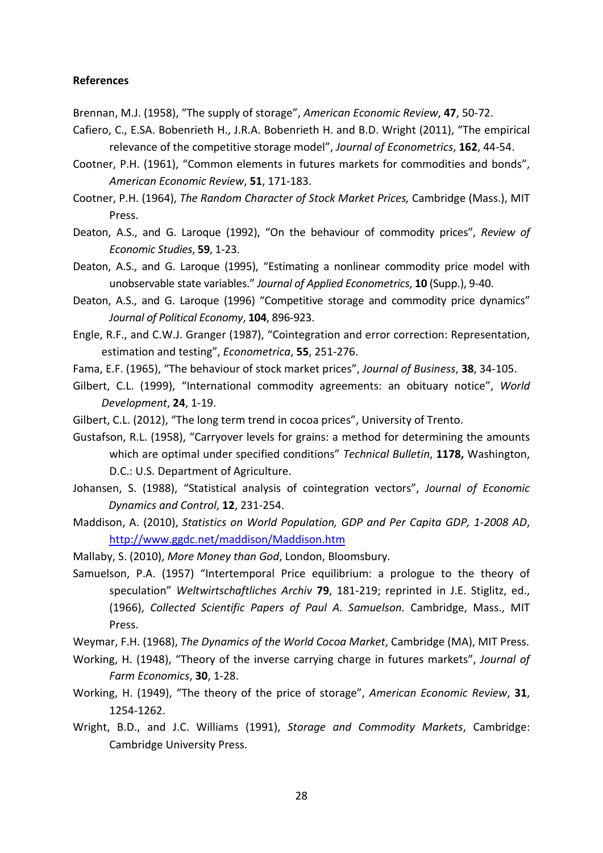#### **References**

- Brennan, M.J. (1958), "The supply of storage", *American Economic Review*, **47**, 50-72.
- Cafiero, C., E.SA. Bobenrieth H., J.R.A. Bobenrieth H. and B.D. Wright (2011), "The empirical relevance of the competitive storage model", *Journal of Econometrics*, **162**, 44-54.
- Cootner, P.H. (1961), "Common elements in futures markets for commodities and bonds", *American Economic Review*, **51**, 171-183.
- Cootner, P.H. (1964), *The Random Character of Stock Market Prices,* Cambridge (Mass.), MIT Press.
- Deaton, A.S., and G. Laroque (1992), "On the behaviour of commodity prices", *Review of Economic Studies*, **59**, 1-23.
- Deaton, A.S., and G. Laroque (1995), "Estimating a nonlinear commodity price model with unobservable state variables." *Journal of Applied Econometrics*, **10** (Supp.), 9-40.
- Deaton, A.S., and G. Laroque (1996) "Competitive storage and commodity price dynamics" *Journal of Political Economy*, **104**, 896-923.
- Engle, R.F., and C.W.J. Granger (1987), "Cointegration and error correction: Representation, estimation and testing", *Econometrica*, **55**, 251-276.
- Fama, E.F. (1965), "The behaviour of stock market prices", *Journal of Business*, **38**, 34-105.
- Gilbert, C.L. (1999), "International commodity agreements: an obituary notice", *World Development*, **24**, 1-19.
- Gilbert, C.L. (2012), "The long term trend in cocoa prices", University of Trento.
- Gustafson, R.L. (1958), "Carryover levels for grains: a method for determining the amounts which are optimal under specified conditions" *Technical Bulletin*, **1178,** Washington, D.C.: U.S. Department of Agriculture.
- Johansen, S. (1988), "Statistical analysis of cointegration vectors", *Journal of Economic Dynamics and Control*, **12**, 231-254.
- Maddison, A. (2010), *Statistics on World Population, GDP and Per Capita GDP, 1-2008 AD*, <http://www.ggdc.net/maddison/Maddison.htm>
- Mallaby, S. (2010), *More Money than God*, London, Bloomsbury.
- Samuelson, P.A. (1957) "Intertemporal Price equilibrium: a prologue to the theory of speculation" *Weltwirtschaftliches Archiv* **79**, 181-219; reprinted in J.E. Stiglitz, ed., (1966), *Collected Scientific Papers of Paul A. Samuelson.* Cambridge, Mass., MIT Press.
- Weymar, F.H. (1968), *The Dynamics of the World Cocoa Market*, Cambridge (MA), MIT Press.
- Working, H. (1948), "Theory of the inverse carrying charge in futures markets", *Journal of Farm Economics*, **30**, 1-28.
- Working, H. (1949), "The theory of the price of storage", *American Economic Review*, **31**, 1254-1262.
- Wright, B.D., and J.C. Williams (1991), *Storage and Commodity Markets*, Cambridge: Cambridge University Press.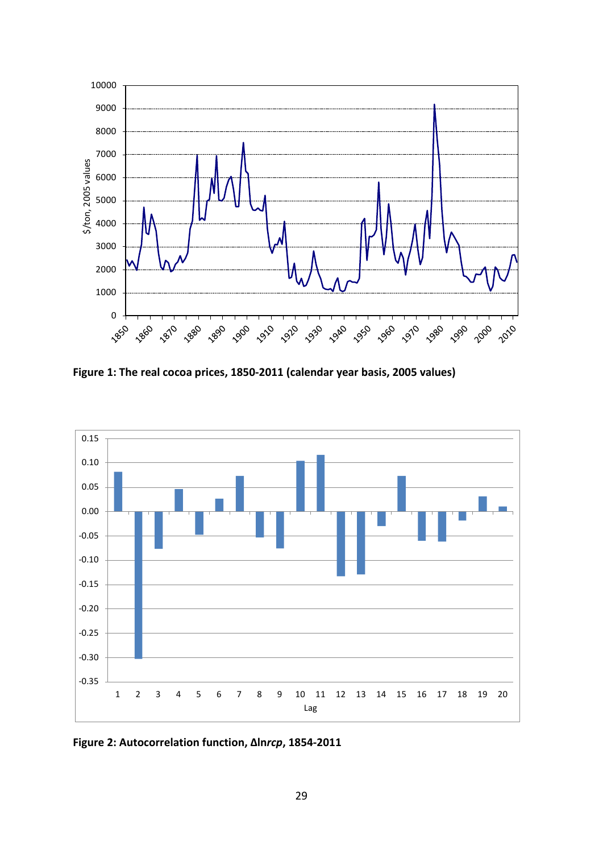

**Figure 1: The real cocoa prices, 1850-2011 (calendar year basis, 2005 values)** 



**Figure 2: Autocorrelation function, Δln***rcp***, 1854-2011**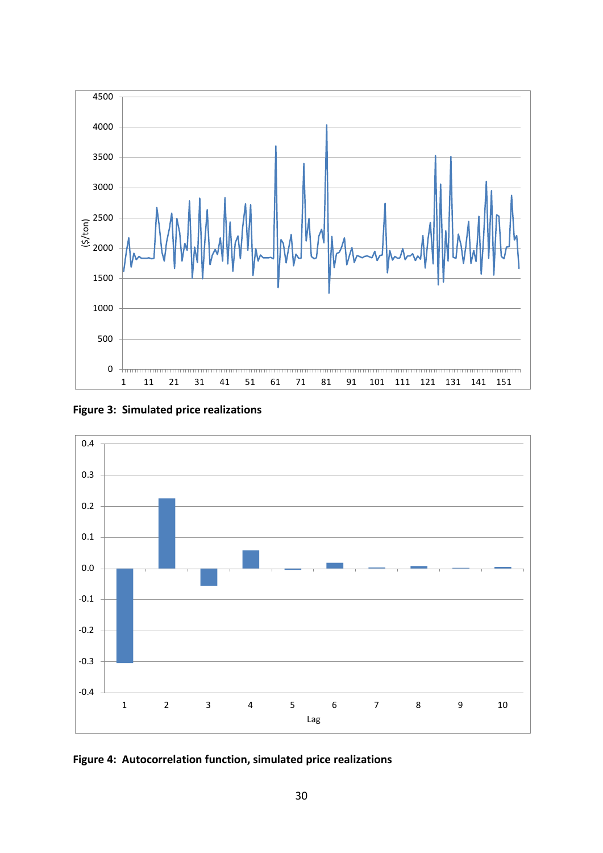





**Figure 4: Autocorrelation function, simulated price realizations**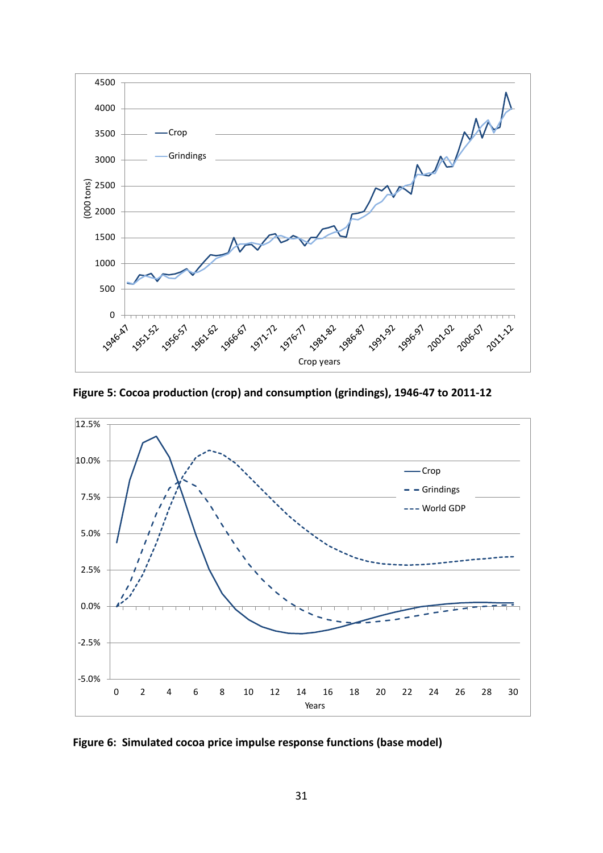

**Figure 5: Cocoa production (crop) and consumption (grindings), 1946-47 to 2011-12** 



**Figure 6: Simulated cocoa price impulse response functions (base model)**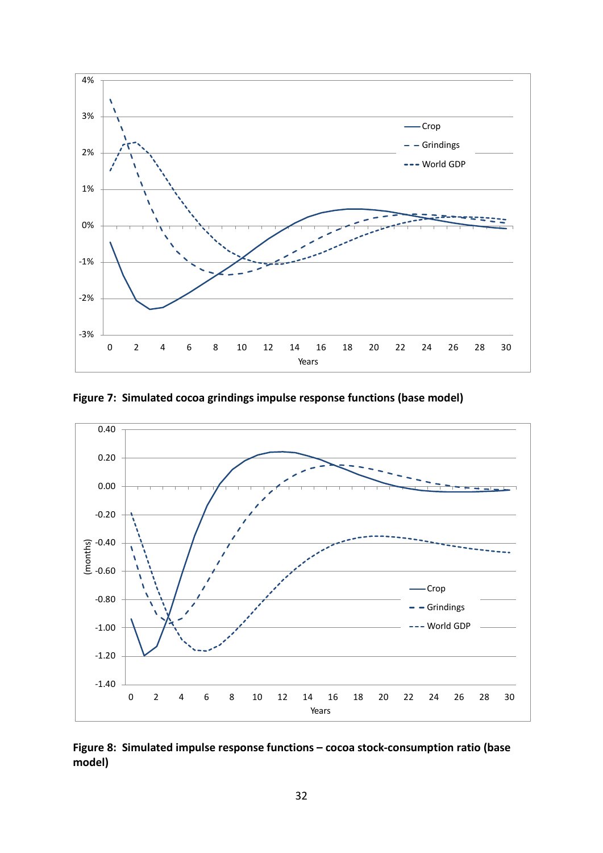

**Figure 7: Simulated cocoa grindings impulse response functions (base model)**



# **Figure 8: Simulated impulse response functions – cocoa stock-consumption ratio (base model)**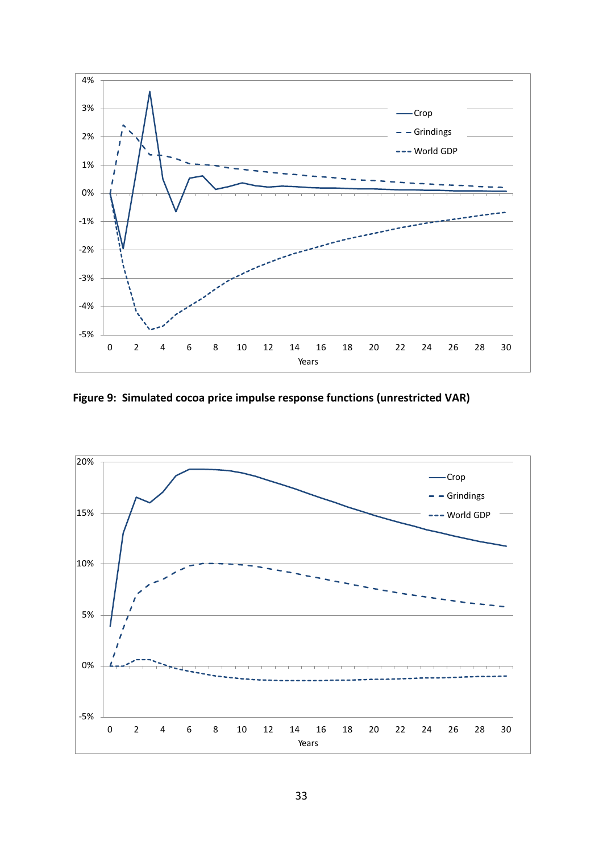

**Figure 9: Simulated cocoa price impulse response functions (unrestricted VAR)**